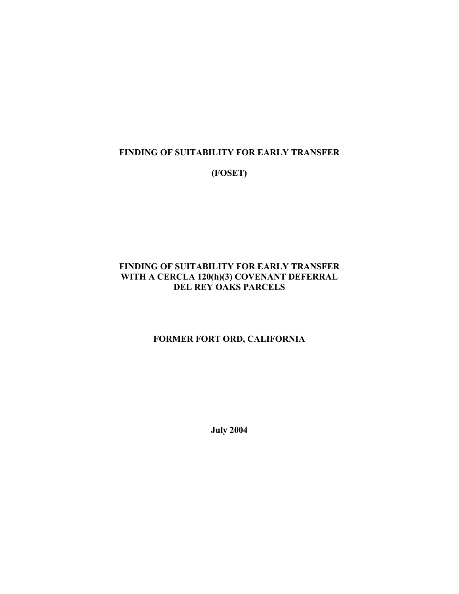#### **FINDING OF SUITABILITY FOR EARLY TRANSFER**

**(FOSET)** 

#### **FINDING OF SUITABILITY FOR EARLY TRANSFER WITH A CERCLA 120(h)(3) COVENANT DEFERRAL DEL REY OAKS PARCELS**

#### **FORMER FORT ORD, CALIFORNIA**

**July 2004**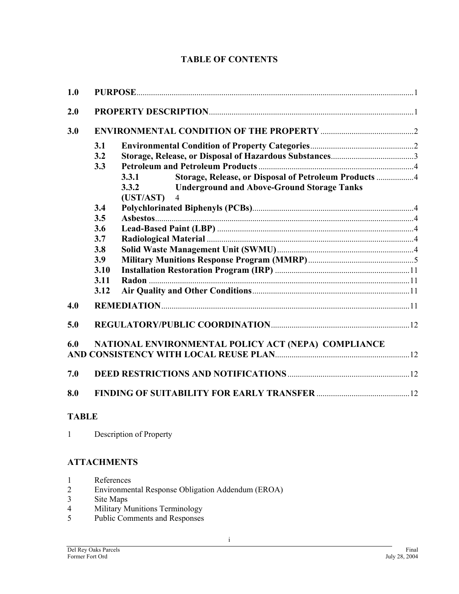### **TABLE OF CONTENTS**

| 1.0 |      |                                                                                           |  |  |  |
|-----|------|-------------------------------------------------------------------------------------------|--|--|--|
| 2.0 |      |                                                                                           |  |  |  |
| 3.0 |      |                                                                                           |  |  |  |
|     | 3.1  |                                                                                           |  |  |  |
|     | 3.2  |                                                                                           |  |  |  |
|     | 3.3  |                                                                                           |  |  |  |
|     |      | Storage, Release, or Disposal of Petroleum Products 4<br>3.3.1                            |  |  |  |
|     |      | <b>Underground and Above-Ground Storage Tanks</b><br>3.3.2<br>(UST/AST)<br>$\overline{4}$ |  |  |  |
|     | 3.4  |                                                                                           |  |  |  |
|     | 3.5  |                                                                                           |  |  |  |
|     | 3.6  |                                                                                           |  |  |  |
|     | 3.7  |                                                                                           |  |  |  |
|     | 3.8  |                                                                                           |  |  |  |
|     | 3.9  |                                                                                           |  |  |  |
|     | 3.10 |                                                                                           |  |  |  |
|     | 3.11 |                                                                                           |  |  |  |
|     | 3.12 |                                                                                           |  |  |  |
| 4.0 |      |                                                                                           |  |  |  |
| 5.0 |      |                                                                                           |  |  |  |
| 6.0 |      | NATIONAL ENVIRONMENTAL POLICY ACT (NEPA) COMPLIANCE                                       |  |  |  |
|     |      |                                                                                           |  |  |  |
| 7.0 |      |                                                                                           |  |  |  |
| 8.0 |      |                                                                                           |  |  |  |

### **TABLE**

### **ATTACHMENTS**

- 2 Environmental Response Obligation Addendum (EROA)
- 3 Site Maps<br>4 Military M
- 4 Military Munitions Terminology<br>5 Public Comments and Responses
- Public Comments and Responses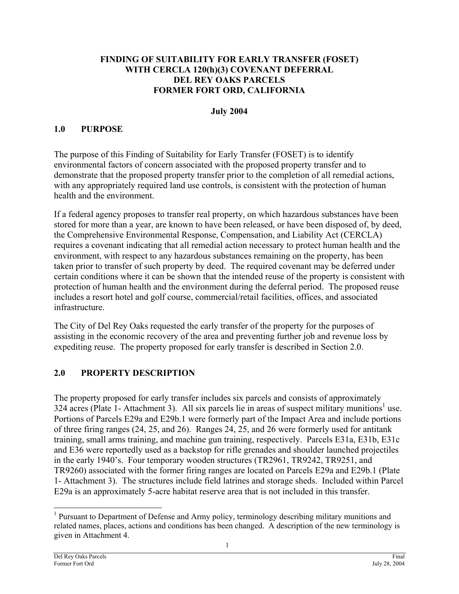#### <span id="page-2-0"></span>**FINDING OF SUITABILITY FOR EARLY TRANSFER (FOSET) WITH CERCLA 120(h)(3) COVENANT DEFERRAL DEL REY OAKS PARCELS FORMER FORT ORD, CALIFORNIA**

#### **July 2004**

### **1.0 PURPOSE**

The purpose of this Finding of Suitability for Early Transfer (FOSET) is to identify environmental factors of concern associated with the proposed property transfer and to demonstrate that the proposed property transfer prior to the completion of all remedial actions, with any appropriately required land use controls, is consistent with the protection of human health and the environment.

If a federal agency proposes to transfer real property, on which hazardous substances have been stored for more than a year, are known to have been released, or have been disposed of, by deed, the Comprehensive Environmental Response, Compensation, and Liability Act (CERCLA) requires a covenant indicating that all remedial action necessary to protect human health and the environment, with respect to any hazardous substances remaining on the property, has been taken prior to transfer of such property by deed. The required covenant may be deferred under certain conditions where it can be shown that the intended reuse of the property is consistent with protection of human health and the environment during the deferral period. The proposed reuse includes a resort hotel and golf course, commercial/retail facilities, offices, and associated infrastructure.

The City of Del Rey Oaks requested the early transfer of the property for the purposes of assisting in the economic recovery of the area and preventing further job and revenue loss by expediting reuse. The property proposed for early transfer is described in Section 2.0.

### **2.0 PROPERTY DESCRIPTION**

The property proposed for early transfer includes six parcels and consists of approximately 324 acres (Plate [1](#page-2-1)- Attachment 3). All six parcels lie in areas of suspect military munitions<sup>1</sup> use. Portions of Parcels E29a and E29b.1 were formerly part of the Impact Area and include portions of three firing ranges (24, 25, and 26). Ranges 24, 25, and 26 were formerly used for antitank training, small arms training, and machine gun training, respectively. Parcels E31a, E31b, E31c and E36 were reportedly used as a backstop for rifle grenades and shoulder launched projectiles in the early 1940's. Four temporary wooden structures (TR2961, TR9242, TR9251, and TR9260) associated with the former firing ranges are located on Parcels E29a and E29b.1 (Plate 1- Attachment 3). The structures include field latrines and storage sheds. Included within Parcel E29a is an approximately 5-acre habitat reserve area that is not included in this transfer.

l

<span id="page-2-1"></span><sup>&</sup>lt;sup>1</sup> Pursuant to Department of Defense and Army policy, terminology describing military munitions and related names, places, actions and conditions has been changed. A description of the new terminology is given in Attachment 4.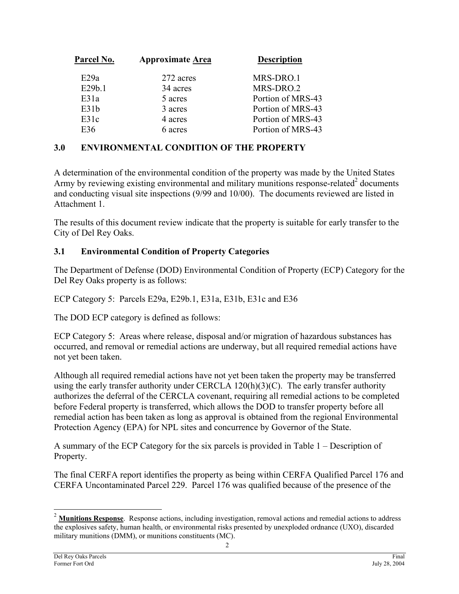<span id="page-3-0"></span>

| Parcel No. | <b>Approximate Area</b> | <b>Description</b> |
|------------|-------------------------|--------------------|
| E29a       | 272 acres               | MRS-DRO.1          |
| E29b.1     | 34 acres                | MRS-DRO.2          |
| E31a       | 5 acres                 | Portion of MRS-43  |
| E31b       | 3 acres                 | Portion of MRS-43  |
| E31c       | 4 acres                 | Portion of MRS-43  |
| E36        | 6 acres                 | Portion of MRS-43  |
|            |                         |                    |

### **3.0 ENVIRONMENTAL CONDITION OF THE PROPERTY**

A determination of the environmental condition of the property was made by the United States Army by reviewing existing environmental and military munitions response-related $2$  documents and conducting visual site inspections (9/99 and 10/00). The documents reviewed are listed in Attachment 1.

The results of this document review indicate that the property is suitable for early transfer to the City of Del Rey Oaks.

### **3.1 Environmental Condition of Property Categories**

The Department of Defense (DOD) Environmental Condition of Property (ECP) Category for the Del Rey Oaks property is as follows:

ECP Category 5: Parcels E29a, E29b.1, E31a, E31b, E31c and E36

The DOD ECP category is defined as follows:

ECP Category 5: Areas where release, disposal and/or migration of hazardous substances has occurred, and removal or remedial actions are underway, but all required remedial actions have not yet been taken.

Although all required remedial actions have not yet been taken the property may be transferred using the early transfer authority under CERCLA 120(h)(3)(C). The early transfer authority authorizes the deferral of the CERCLA covenant, requiring all remedial actions to be completed before Federal property is transferred, which allows the DOD to transfer property before all remedial action has been taken as long as approval is obtained from the regional Environmental Protection Agency (EPA) for NPL sites and concurrence by Governor of the State.

A summary of the ECP Category for the six parcels is provided in Table 1 – Description of Property.

The final CERFA report identifies the property as being within CERFA Qualified Parcel 176 and CERFA Uncontaminated Parcel 229. Parcel 176 was qualified because of the presence of the

l

<span id="page-3-1"></span><sup>&</sup>lt;sup>2</sup> Munitions Response. Response actions, including investigation, removal actions and remedial actions to address the explosives safety, human health, or environmental risks presented by unexploded ordnance (UXO), discarded military munitions (DMM), or munitions constituents (MC).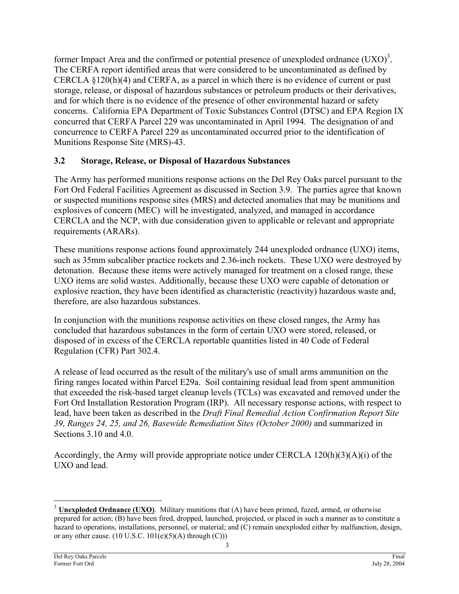<span id="page-4-0"></span>former Impact Area and the confirmed or potential presence of unexploded ordnance  $(UXO)^3$  $(UXO)^3$ . The CERFA report identified areas that were considered to be uncontaminated as defined by CERCLA §120(h)(4) and CERFA, as a parcel in which there is no evidence of current or past storage, release, or disposal of hazardous substances or petroleum products or their derivatives, and for which there is no evidence of the presence of other environmental hazard or safety concerns. California EPA Department of Toxic Substances Control (DTSC) and EPA Region IX concurred that CERFA Parcel 229 was uncontaminated in April 1994. The designation of and concurrence to CERFA Parcel 229 as uncontaminated occurred prior to the identification of Munitions Response Site (MRS)-43.

### **3.2 Storage, Release, or Disposal of Hazardous Substances**

The Army has performed munitions response actions on the Del Rey Oaks parcel pursuant to the Fort Ord Federal Facilities Agreement as discussed in Section 3.9. The parties agree that known or suspected munitions response sites (MRS) and detected anomalies that may be munitions and explosives of concern (MEC) will be investigated, analyzed, and managed in accordance CERCLA and the NCP, with due consideration given to applicable or relevant and appropriate requirements (ARARs).

These munitions response actions found approximately 244 unexploded ordnance (UXO) items, such as 35mm subcaliber practice rockets and 2.36-inch rockets. These UXO were destroyed by detonation. Because these items were actively managed for treatment on a closed range, these UXO items are solid wastes. Additionally, because these UXO were capable of detonation or explosive reaction, they have been identified as characteristic (reactivity) hazardous waste and, therefore, are also hazardous substances.

In conjunction with the munitions response activities on these closed ranges, the Army has concluded that hazardous substances in the form of certain UXO were stored, released, or disposed of in excess of the CERCLA reportable quantities listed in 40 Code of Federal Regulation (CFR) Part 302.4.

A release of lead occurred as the result of the military's use of small arms ammunition on the firing ranges located within Parcel E29a. Soil containing residual lead from spent ammunition that exceeded the risk-based target cleanup levels (TCLs) was excavated and removed under the Fort Ord Installation Restoration Program (IRP). All necessary response actions, with respect to lead, have been taken as described in the *Draft Final Remedial Action Confirmation Report Site 39, Ranges 24, 25, and 26, Basewide Remediation Sites (October 2000)* and summarized in Sections 3.10 and 4.0.

Accordingly, the Army will provide appropriate notice under CERCLA 120(h)(3)(A)(i) of the UXO and lead.

 $\overline{\phantom{a}}$ 

<span id="page-4-1"></span><sup>&</sup>lt;sup>3</sup> **Unexploded Ordnance (UXO)**. Military munitions that (A) have been primed, fuzed, armed, or otherwise prepared for action; (B) have been fired, dropped, launched, projected, or placed in such a manner as to constitute a hazard to operations, installations, personnel, or material; and (C) remain unexploded either by malfunction, design, or any other cause.  $(10 \text{ U.S.C. } 101(e)(5)(\text{A})$  through  $(C))$ )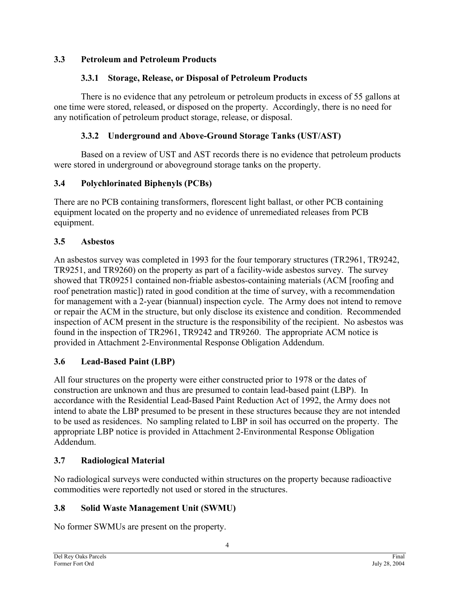### <span id="page-5-0"></span>**3.3 Petroleum and Petroleum Products**

### **3.3.1 Storage, Release, or Disposal of Petroleum Products**

There is no evidence that any petroleum or petroleum products in excess of 55 gallons at one time were stored, released, or disposed on the property. Accordingly, there is no need for any notification of petroleum product storage, release, or disposal.

### **3.3.2 Underground and Above-Ground Storage Tanks (UST/AST)**

Based on a review of UST and AST records there is no evidence that petroleum products were stored in underground or aboveground storage tanks on the property.

### **3.4 Polychlorinated Biphenyls (PCBs)**

There are no PCB containing transformers, florescent light ballast, or other PCB containing equipment located on the property and no evidence of unremediated releases from PCB equipment.

### **3.5 Asbestos**

An asbestos survey was completed in 1993 for the four temporary structures (TR2961, TR9242, TR9251, and TR9260) on the property as part of a facility-wide asbestos survey. The survey showed that TR09251 contained non-friable asbestos-containing materials (ACM [roofing and roof penetration mastic]) rated in good condition at the time of survey, with a recommendation for management with a 2-year (biannual) inspection cycle. The Army does not intend to remove or repair the ACM in the structure, but only disclose its existence and condition. Recommended inspection of ACM present in the structure is the responsibility of the recipient. No asbestos was found in the inspection of TR2961, TR9242 and TR9260. The appropriate ACM notice is provided in Attachment 2-Environmental Response Obligation Addendum.

### **3.6 Lead-Based Paint (LBP)**

All four structures on the property were either constructed prior to 1978 or the dates of construction are unknown and thus are presumed to contain lead-based paint (LBP). In accordance with the Residential Lead-Based Paint Reduction Act of 1992, the Army does not intend to abate the LBP presumed to be present in these structures because they are not intended to be used as residences. No sampling related to LBP in soil has occurred on the property. The appropriate LBP notice is provided in Attachment 2-Environmental Response Obligation Addendum.

### **3.7 Radiological Material**

No radiological surveys were conducted within structures on the property because radioactive commodities were reportedly not used or stored in the structures.

### **3.8 Solid Waste Management Unit (SWMU)**

No former SWMUs are present on the property.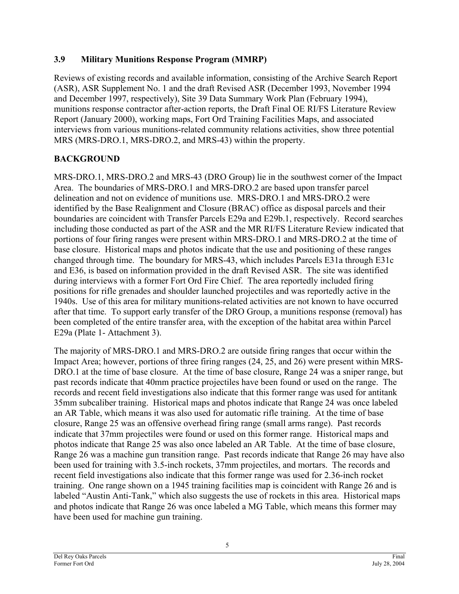### <span id="page-6-0"></span>**3.9 Military Munitions Response Program (MMRP)**

Reviews of existing records and available information, consisting of the Archive Search Report (ASR), ASR Supplement No. 1 and the draft Revised ASR (December 1993, November 1994 and December 1997, respectively), Site 39 Data Summary Work Plan (February 1994), munitions response contractor after-action reports, the Draft Final OE RI/FS Literature Review Report (January 2000), working maps, Fort Ord Training Facilities Maps, and associated interviews from various munitions-related community relations activities, show three potential MRS (MRS-DRO.1, MRS-DRO.2, and MRS-43) within the property.

## **BACKGROUND**

MRS-DRO.1, MRS-DRO.2 and MRS-43 (DRO Group) lie in the southwest corner of the Impact Area. The boundaries of MRS-DRO.1 and MRS-DRO.2 are based upon transfer parcel delineation and not on evidence of munitions use. MRS-DRO.1 and MRS-DRO.2 were identified by the Base Realignment and Closure (BRAC) office as disposal parcels and their boundaries are coincident with Transfer Parcels E29a and E29b.1, respectively. Record searches including those conducted as part of the ASR and the MR RI/FS Literature Review indicated that portions of four firing ranges were present within MRS-DRO.1 and MRS-DRO.2 at the time of base closure. Historical maps and photos indicate that the use and positioning of these ranges changed through time. The boundary for MRS-43, which includes Parcels E31a through E31c and E36, is based on information provided in the draft Revised ASR. The site was identified during interviews with a former Fort Ord Fire Chief. The area reportedly included firing positions for rifle grenades and shoulder launched projectiles and was reportedly active in the 1940s. Use of this area for military munitions-related activities are not known to have occurred after that time. To support early transfer of the DRO Group, a munitions response (removal) has been completed of the entire transfer area, with the exception of the habitat area within Parcel E29a (Plate 1- Attachment 3).

The majority of MRS-DRO.1 and MRS-DRO.2 are outside firing ranges that occur within the Impact Area; however, portions of three firing ranges (24, 25, and 26) were present within MRS-DRO.1 at the time of base closure. At the time of base closure, Range 24 was a sniper range, but past records indicate that 40mm practice projectiles have been found or used on the range. The records and recent field investigations also indicate that this former range was used for antitank 35mm subcaliber training. Historical maps and photos indicate that Range 24 was once labeled an AR Table, which means it was also used for automatic rifle training. At the time of base closure, Range 25 was an offensive overhead firing range (small arms range). Past records indicate that 37mm projectiles were found or used on this former range. Historical maps and photos indicate that Range 25 was also once labeled an AR Table. At the time of base closure, Range 26 was a machine gun transition range. Past records indicate that Range 26 may have also been used for training with 3.5-inch rockets, 37mm projectiles, and mortars. The records and recent field investigations also indicate that this former range was used for 2.36-inch rocket training. One range shown on a 1945 training facilities map is coincident with Range 26 and is labeled "Austin Anti-Tank," which also suggests the use of rockets in this area. Historical maps and photos indicate that Range 26 was once labeled a MG Table, which means this former may have been used for machine gun training.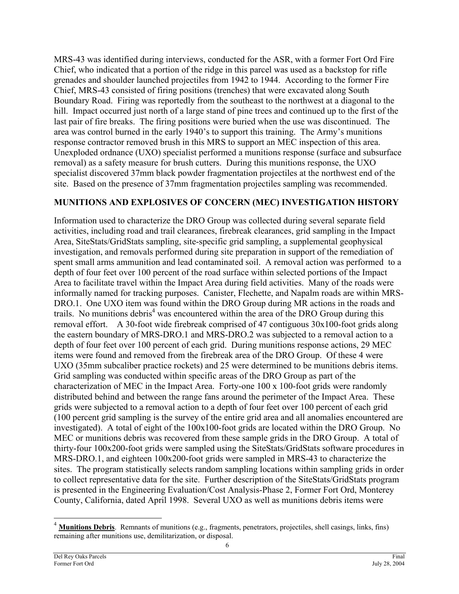MRS-43 was identified during interviews, conducted for the ASR, with a former Fort Ord Fire Chief, who indicated that a portion of the ridge in this parcel was used as a backstop for rifle grenades and shoulder launched projectiles from 1942 to 1944. According to the former Fire Chief, MRS-43 consisted of firing positions (trenches) that were excavated along South Boundary Road. Firing was reportedly from the southeast to the northwest at a diagonal to the hill. Impact occurred just north of a large stand of pine trees and continued up to the first of the last pair of fire breaks. The firing positions were buried when the use was discontinued. The area was control burned in the early 1940's to support this training. The Army's munitions response contractor removed brush in this MRS to support an MEC inspection of this area. Unexploded ordnance (UXO) specialist performed a munitions response (surface and subsurface removal) as a safety measure for brush cutters. During this munitions response, the UXO specialist discovered 37mm black powder fragmentation projectiles at the northwest end of the site. Based on the presence of 37mm fragmentation projectiles sampling was recommended.

### **MUNITIONS AND EXPLOSIVES OF CONCERN (MEC) INVESTIGATION HISTORY**

Information used to characterize the DRO Group was collected during several separate field activities, including road and trail clearances, firebreak clearances, grid sampling in the Impact Area, SiteStats/GridStats sampling, site-specific grid sampling, a supplemental geophysical investigation, and removals performed during site preparation in support of the remediation of spent small arms ammunition and lead contaminated soil. A removal action was performed to a depth of four feet over 100 percent of the road surface within selected portions of the Impact Area to facilitate travel within the Impact Area during field activities. Many of the roads were informally named for tracking purposes. Canister, Flechette, and Napalm roads are within MRS-DRO.1. One UXO item was found within the DRO Group during MR actions in the roads and trails. No munitions debris<sup>4</sup> was encountered within the area of the DRO Group during this removal effort. A 30-foot wide firebreak comprised of 47 contiguous 30x100-foot grids along the eastern boundary of MRS-DRO.1 and MRS-DRO.2 was subjected to a removal action to a depth of four feet over 100 percent of each grid. During munitions response actions, 29 MEC items were found and removed from the firebreak area of the DRO Group. Of these 4 were UXO (35mm subcaliber practice rockets) and 25 were determined to be munitions debris items. Grid sampling was conducted within specific areas of the DRO Group as part of the characterization of MEC in the Impact Area. Forty-one 100 x 100-foot grids were randomly distributed behind and between the range fans around the perimeter of the Impact Area. These grids were subjected to a removal action to a depth of four feet over 100 percent of each grid (100 percent grid sampling is the survey of the entire grid area and all anomalies encountered are investigated). A total of eight of the 100x100-foot grids are located within the DRO Group. No MEC or munitions debris was recovered from these sample grids in the DRO Group. A total of thirty-four 100x200-foot grids were sampled using the SiteStats/GridStats software procedures in MRS-DRO.1, and eighteen 100x200-foot grids were sampled in MRS-43 to characterize the sites. The program statistically selects random sampling locations within sampling grids in order to collect representative data for the site. Further description of the SiteStats/GridStats program is presented in the Engineering Evaluation/Cost Analysis-Phase 2, Former Fort Ord, Monterey County, California, dated April 1998. Several UXO as well as munitions debris items were

l

<span id="page-7-0"></span><sup>&</sup>lt;sup>4</sup> **Munitions Debris**. Remnants of munitions (e.g., fragments, penetrators, projectiles, shell casings, links, fins) remaining after munitions use, demilitarization, or disposal.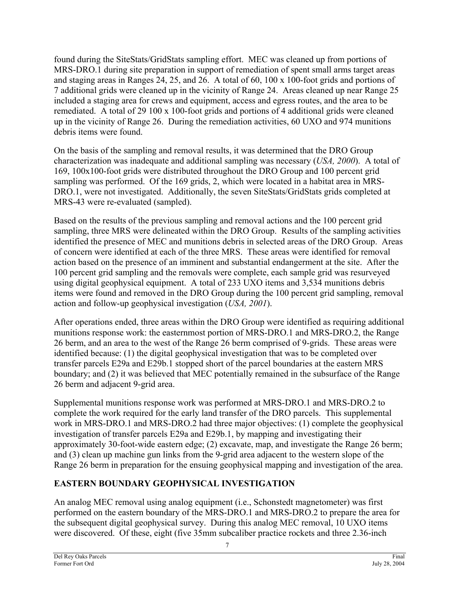found during the SiteStats/GridStats sampling effort. MEC was cleaned up from portions of MRS-DRO.1 during site preparation in support of remediation of spent small arms target areas and staging areas in Ranges 24, 25, and 26. A total of 60, 100 x 100-foot grids and portions of 7 additional grids were cleaned up in the vicinity of Range 24. Areas cleaned up near Range 25 included a staging area for crews and equipment, access and egress routes, and the area to be remediated. A total of 29 100 x 100-foot grids and portions of 4 additional grids were cleaned up in the vicinity of Range 26. During the remediation activities, 60 UXO and 974 munitions debris items were found.

On the basis of the sampling and removal results, it was determined that the DRO Group characterization was inadequate and additional sampling was necessary (*USA, 2000*). A total of 169, 100x100-foot grids were distributed throughout the DRO Group and 100 percent grid sampling was performed. Of the 169 grids, 2, which were located in a habitat area in MRS-DRO.1, were not investigated. Additionally, the seven SiteStats/GridStats grids completed at MRS-43 were re-evaluated (sampled).

Based on the results of the previous sampling and removal actions and the 100 percent grid sampling, three MRS were delineated within the DRO Group. Results of the sampling activities identified the presence of MEC and munitions debris in selected areas of the DRO Group. Areas of concern were identified at each of the three MRS. These areas were identified for removal action based on the presence of an imminent and substantial endangerment at the site. After the 100 percent grid sampling and the removals were complete, each sample grid was resurveyed using digital geophysical equipment. A total of 233 UXO items and 3,534 munitions debris items were found and removed in the DRO Group during the 100 percent grid sampling, removal action and follow-up geophysical investigation (*USA, 2001*).

After operations ended, three areas within the DRO Group were identified as requiring additional munitions response work: the easternmost portion of MRS-DRO.1 and MRS-DRO.2, the Range 26 berm, and an area to the west of the Range 26 berm comprised of 9-grids. These areas were identified because: (1) the digital geophysical investigation that was to be completed over transfer parcels E29a and E29b.1 stopped short of the parcel boundaries at the eastern MRS boundary; and (2) it was believed that MEC potentially remained in the subsurface of the Range 26 berm and adjacent 9-grid area.

Supplemental munitions response work was performed at MRS-DRO.1 and MRS-DRO.2 to complete the work required for the early land transfer of the DRO parcels. This supplemental work in MRS-DRO.1 and MRS-DRO.2 had three major objectives: (1) complete the geophysical investigation of transfer parcels E29a and E29b.1, by mapping and investigating their approximately 30-foot-wide eastern edge; (2) excavate, map, and investigate the Range 26 berm; and (3) clean up machine gun links from the 9-grid area adjacent to the western slope of the Range 26 berm in preparation for the ensuing geophysical mapping and investigation of the area.

## **EASTERN BOUNDARY GEOPHYSICAL INVESTIGATION**

An analog MEC removal using analog equipment (i.e., Schonstedt magnetometer) was first performed on the eastern boundary of the MRS-DRO.1 and MRS-DRO.2 to prepare the area for the subsequent digital geophysical survey. During this analog MEC removal, 10 UXO items were discovered. Of these, eight (five 35mm subcaliber practice rockets and three 2.36-inch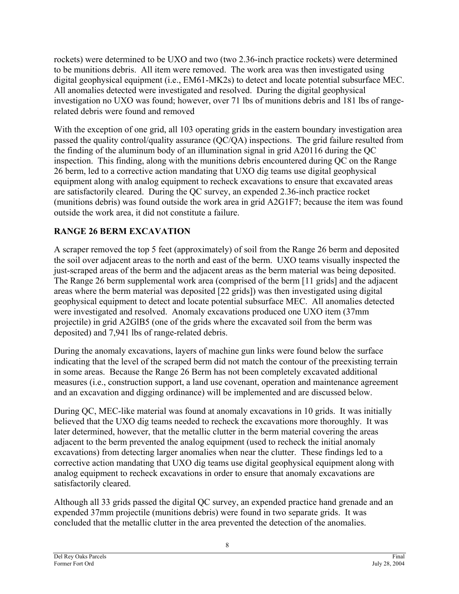rockets) were determined to be UXO and two (two 2.36-inch practice rockets) were determined to be munitions debris. All item were removed. The work area was then investigated using digital geophysical equipment (i.e., EM61-MK2s) to detect and locate potential subsurface MEC. All anomalies detected were investigated and resolved. During the digital geophysical investigation no UXO was found; however, over 71 lbs of munitions debris and 181 lbs of rangerelated debris were found and removed

With the exception of one grid, all 103 operating grids in the eastern boundary investigation area passed the quality control/quality assurance (QC/QA) inspections. The grid failure resulted from the finding of the aluminum body of an illumination signal in grid A20116 during the QC inspection. This finding, along with the munitions debris encountered during QC on the Range 26 berm, led to a corrective action mandating that UXO dig teams use digital geophysical equipment along with analog equipment to recheck excavations to ensure that excavated areas are satisfactorily cleared. During the QC survey, an expended 2.36-inch practice rocket (munitions debris) was found outside the work area in grid A2G1F7; because the item was found outside the work area, it did not constitute a failure.

## **RANGE 26 BERM EXCAVATION**

A scraper removed the top 5 feet (approximately) of soil from the Range 26 berm and deposited the soil over adjacent areas to the north and east of the berm. UXO teams visually inspected the just-scraped areas of the berm and the adjacent areas as the berm material was being deposited. The Range 26 berm supplemental work area (comprised of the berm [11 grids] and the adjacent areas where the berm material was deposited [22 grids]) was then investigated using digital geophysical equipment to detect and locate potential subsurface MEC. All anomalies detected were investigated and resolved. Anomaly excavations produced one UXO item (37mm projectile) in grid A2GlB5 (one of the grids where the excavated soil from the berm was deposited) and 7,941 lbs of range-related debris.

During the anomaly excavations, layers of machine gun links were found below the surface indicating that the level of the scraped berm did not match the contour of the preexisting terrain in some areas. Because the Range 26 Berm has not been completely excavated additional measures (i.e., construction support, a land use covenant, operation and maintenance agreement and an excavation and digging ordinance) will be implemented and are discussed below.

During QC, MEC-like material was found at anomaly excavations in 10 grids. It was initially believed that the UXO dig teams needed to recheck the excavations more thoroughly. It was later determined, however, that the metallic clutter in the berm material covering the areas adjacent to the berm prevented the analog equipment (used to recheck the initial anomaly excavations) from detecting larger anomalies when near the clutter. These findings led to a corrective action mandating that UXO dig teams use digital geophysical equipment along with analog equipment to recheck excavations in order to ensure that anomaly excavations are satisfactorily cleared.

Although all 33 grids passed the digital QC survey, an expended practice hand grenade and an expended 37mm projectile (munitions debris) were found in two separate grids. It was concluded that the metallic clutter in the area prevented the detection of the anomalies.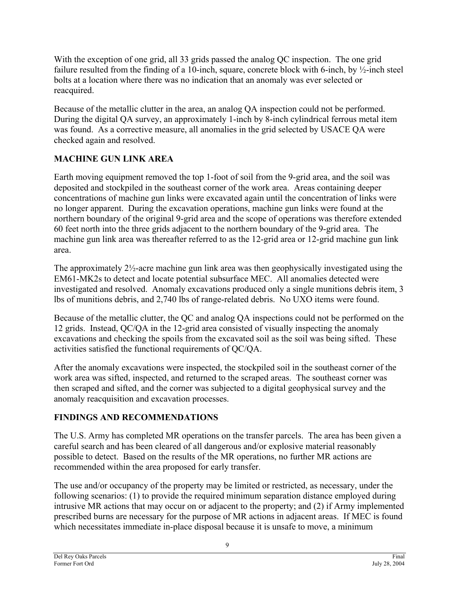With the exception of one grid, all 33 grids passed the analog QC inspection. The one grid failure resulted from the finding of a 10-inch, square, concrete block with 6-inch, by ½-inch steel bolts at a location where there was no indication that an anomaly was ever selected or reacquired.

Because of the metallic clutter in the area, an analog QA inspection could not be performed. During the digital QA survey, an approximately 1-inch by 8-inch cylindrical ferrous metal item was found. As a corrective measure, all anomalies in the grid selected by USACE QA were checked again and resolved.

## **MACHINE GUN LINK AREA**

Earth moving equipment removed the top 1-foot of soil from the 9-grid area, and the soil was deposited and stockpiled in the southeast corner of the work area. Areas containing deeper concentrations of machine gun links were excavated again until the concentration of links were no longer apparent. During the excavation operations, machine gun links were found at the northern boundary of the original 9-grid area and the scope of operations was therefore extended 60 feet north into the three grids adjacent to the northern boundary of the 9-grid area. The machine gun link area was thereafter referred to as the 12-grid area or 12-grid machine gun link area.

The approximately 2½-acre machine gun link area was then geophysically investigated using the EM61-MK2s to detect and locate potential subsurface MEC. All anomalies detected were investigated and resolved. Anomaly excavations produced only a single munitions debris item, 3 lbs of munitions debris, and 2,740 lbs of range-related debris. No UXO items were found.

Because of the metallic clutter, the QC and analog QA inspections could not be performed on the 12 grids. Instead, QC/QA in the 12-grid area consisted of visually inspecting the anomaly excavations and checking the spoils from the excavated soil as the soil was being sifted. These activities satisfied the functional requirements of QC/QA.

After the anomaly excavations were inspected, the stockpiled soil in the southeast corner of the work area was sifted, inspected, and returned to the scraped areas. The southeast corner was then scraped and sifted, and the corner was subjected to a digital geophysical survey and the anomaly reacquisition and excavation processes.

## **FINDINGS AND RECOMMENDATIONS**

The U.S. Army has completed MR operations on the transfer parcels. The area has been given a careful search and has been cleared of all dangerous and/or explosive material reasonably possible to detect. Based on the results of the MR operations, no further MR actions are recommended within the area proposed for early transfer.

The use and/or occupancy of the property may be limited or restricted, as necessary, under the following scenarios: (1) to provide the required minimum separation distance employed during intrusive MR actions that may occur on or adjacent to the property; and (2) if Army implemented prescribed burns are necessary for the purpose of MR actions in adjacent areas. If MEC is found which necessitates immediate in-place disposal because it is unsafe to move, a minimum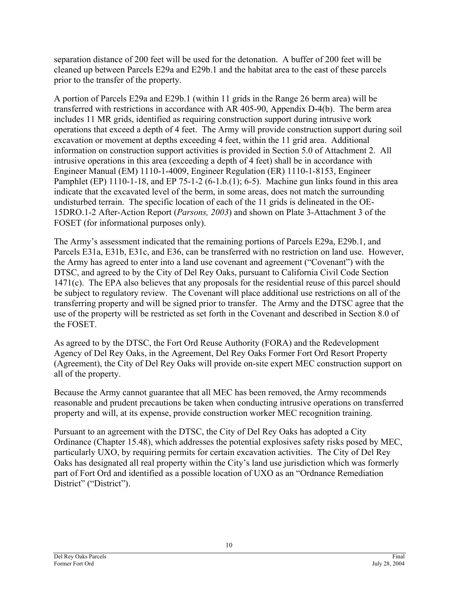separation distance of 200 feet will be used for the detonation. A buffer of 200 feet will be cleaned up between Parcels E29a and E29b.1 and the habitat area to the east of these parcels prior to the transfer of the property.

A portion of Parcels E29a and E29b.1 (within 11 grids in the Range 26 berm area) will be transferred with restrictions in accordance with AR 405-90, Appendix D-4(b). The berm area includes 11 MR grids, identified as requiring construction support during intrusive work operations that exceed a depth of 4 feet. The Army will provide construction support during soil excavation or movement at depths exceeding 4 feet, within the 11 grid area. Additional information on construction support activities is provided in Section 5.0 of Attachment 2. All intrusive operations in this area (exceeding a depth of 4 feet) shall be in accordance with Engineer Manual (EM) 1110-1-4009, Engineer Regulation (ER) 1110-1-8153, Engineer Pamphlet (EP) 1110-1-18, and EP 75-1-2 (6-1.b.(1); 6-5). Machine gun links found in this area indicate that the excavated level of the berm, in some areas, does not match the surrounding undisturbed terrain. The specific location of each of the 11 grids is delineated in the OE-15DRO.1-2 After-Action Report (*Parsons, 2003*) and shown on Plate 3-Attachment 3 of the FOSET (for informational purposes only).

The Army's assessment indicated that the remaining portions of Parcels E29a, E29b.1, and Parcels E31a, E31b, E31c, and E36, can be transferred with no restriction on land use. However, the Army has agreed to enter into a land use covenant and agreement ("Covenant") with the DTSC, and agreed to by the City of Del Rey Oaks, pursuant to California Civil Code Section 1471(c). The EPA also believes that any proposals for the residential reuse of this parcel should be subject to regulatory review. The Covenant will place additional use restrictions on all of the transferring property and will be signed prior to transfer. The Army and the DTSC agree that the use of the property will be restricted as set forth in the Covenant and described in Section 8.0 of the FOSET.

As agreed to by the DTSC, the Fort Ord Reuse Authority (FORA) and the Redevelopment Agency of Del Rey Oaks, in the Agreement, Del Rey Oaks Former Fort Ord Resort Property (Agreement), the City of Del Rey Oaks will provide on-site expert MEC construction support on all of the property.

Because the Army cannot guarantee that all MEC has been removed, the Army recommends reasonable and prudent precautions be taken when conducting intrusive operations on transferred property and will, at its expense, provide construction worker MEC recognition training.

Pursuant to an agreement with the DTSC, the City of Del Rey Oaks has adopted a City Ordinance (Chapter 15.48), which addresses the potential explosives safety risks posed by MEC, particularly UXO, by requiring permits for certain excavation activities. The City of Del Rey Oaks has designated all real property within the City's land use jurisdiction which was formerly part of Fort Ord and identified as a possible location of UXO as an "Ordnance Remediation District" ("District").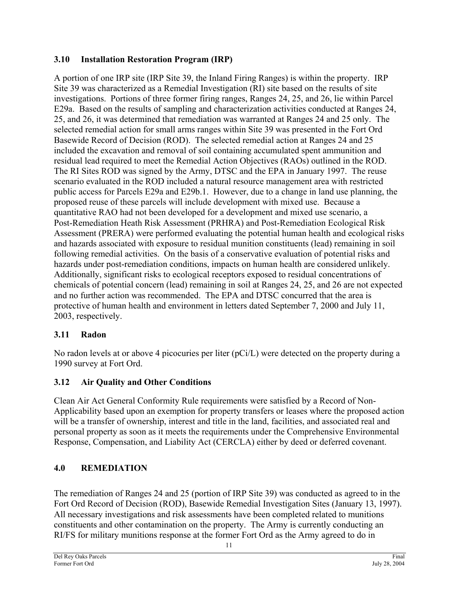## <span id="page-12-0"></span>**3.10 Installation Restoration Program (IRP)**

A portion of one IRP site (IRP Site 39, the Inland Firing Ranges) is within the property. IRP Site 39 was characterized as a Remedial Investigation (RI) site based on the results of site investigations. Portions of three former firing ranges, Ranges 24, 25, and 26, lie within Parcel E29a. Based on the results of sampling and characterization activities conducted at Ranges 24, 25, and 26, it was determined that remediation was warranted at Ranges 24 and 25 only. The selected remedial action for small arms ranges within Site 39 was presented in the Fort Ord Basewide Record of Decision (ROD). The selected remedial action at Ranges 24 and 25 included the excavation and removal of soil containing accumulated spent ammunition and residual lead required to meet the Remedial Action Objectives (RAOs) outlined in the ROD. The RI Sites ROD was signed by the Army, DTSC and the EPA in January 1997. The reuse scenario evaluated in the ROD included a natural resource management area with restricted public access for Parcels E29a and E29b.1. However, due to a change in land use planning, the proposed reuse of these parcels will include development with mixed use. Because a quantitative RAO had not been developed for a development and mixed use scenario, a Post-Remediation Heath Risk Assessment (PRHRA) and Post-Remediation Ecological Risk Assessment (PRERA) were performed evaluating the potential human health and ecological risks and hazards associated with exposure to residual munition constituents (lead) remaining in soil following remedial activities. On the basis of a conservative evaluation of potential risks and hazards under post-remediation conditions, impacts on human health are considered unlikely. Additionally, significant risks to ecological receptors exposed to residual concentrations of chemicals of potential concern (lead) remaining in soil at Ranges 24, 25, and 26 are not expected and no further action was recommended. The EPA and DTSC concurred that the area is protective of human health and environment in letters dated September 7, 2000 and July 11, 2003, respectively.

## **3.11 Radon**

No radon levels at or above 4 picocuries per liter (pCi/L) were detected on the property during a 1990 survey at Fort Ord.

## **3.12 Air Quality and Other Conditions**

Clean Air Act General Conformity Rule requirements were satisfied by a Record of Non-Applicability based upon an exemption for property transfers or leases where the proposed action will be a transfer of ownership, interest and title in the land, facilities, and associated real and personal property as soon as it meets the requirements under the Comprehensive Environmental Response, Compensation, and Liability Act (CERCLA) either by deed or deferred covenant.

## **4.0 REMEDIATION**

The remediation of Ranges 24 and 25 (portion of IRP Site 39) was conducted as agreed to in the Fort Ord Record of Decision (ROD), Basewide Remedial Investigation Sites (January 13, 1997). All necessary investigations and risk assessments have been completed related to munitions constituents and other contamination on the property. The Army is currently conducting an RI/FS for military munitions response at the former Fort Ord as the Army agreed to do in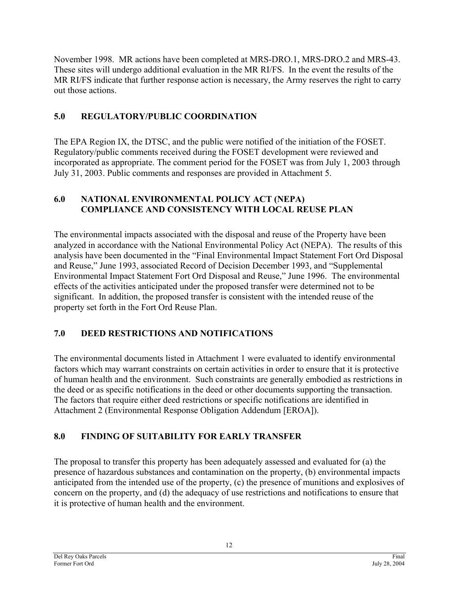<span id="page-13-0"></span>November 1998. MR actions have been completed at MRS-DRO.1, MRS-DRO.2 and MRS-43. These sites will undergo additional evaluation in the MR RI/FS. In the event the results of the MR RI/FS indicate that further response action is necessary, the Army reserves the right to carry out those actions.

## **5.0 REGULATORY/PUBLIC COORDINATION**

The EPA Region IX, the DTSC, and the public were notified of the initiation of the FOSET. Regulatory/public comments received during the FOSET development were reviewed and incorporated as appropriate. The comment period for the FOSET was from July 1, 2003 through July 31, 2003. Public comments and responses are provided in Attachment 5.

### **6.0 NATIONAL ENVIRONMENTAL POLICY ACT (NEPA) COMPLIANCE AND CONSISTENCY WITH LOCAL REUSE PLAN**

The environmental impacts associated with the disposal and reuse of the Property have been analyzed in accordance with the National Environmental Policy Act (NEPA). The results of this analysis have been documented in the "Final Environmental Impact Statement Fort Ord Disposal and Reuse," June 1993, associated Record of Decision December 1993, and "Supplemental Environmental Impact Statement Fort Ord Disposal and Reuse," June 1996. The environmental effects of the activities anticipated under the proposed transfer were determined not to be significant. In addition, the proposed transfer is consistent with the intended reuse of the property set forth in the Fort Ord Reuse Plan.

## **7.0 DEED RESTRICTIONS AND NOTIFICATIONS**

The environmental documents listed in Attachment 1 were evaluated to identify environmental factors which may warrant constraints on certain activities in order to ensure that it is protective of human health and the environment. Such constraints are generally embodied as restrictions in the deed or as specific notifications in the deed or other documents supporting the transaction. The factors that require either deed restrictions or specific notifications are identified in Attachment 2 (Environmental Response Obligation Addendum [EROA]).

## **8.0 FINDING OF SUITABILITY FOR EARLY TRANSFER**

The proposal to transfer this property has been adequately assessed and evaluated for (a) the presence of hazardous substances and contamination on the property, (b) environmental impacts anticipated from the intended use of the property, (c) the presence of munitions and explosives of concern on the property, and (d) the adequacy of use restrictions and notifications to ensure that it is protective of human health and the environment.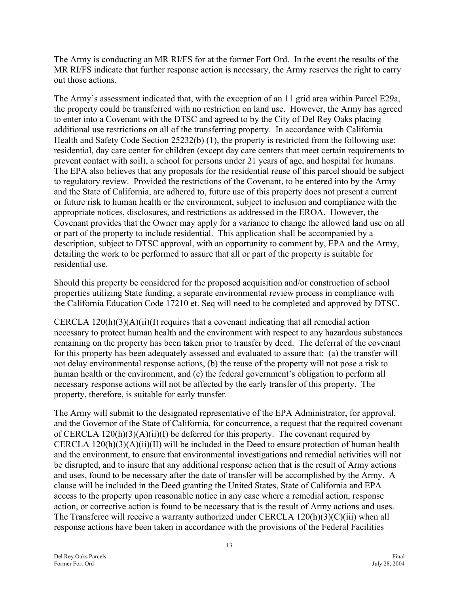The Army is conducting an MR RI/FS for at the former Fort Ord. In the event the results of the MR RI/FS indicate that further response action is necessary, the Army reserves the right to carry out those actions.

The Army's assessment indicated that, with the exception of an 11 grid area within Parcel E29a, the property could be transferred with no restriction on land use. However, the Army has agreed to enter into a Covenant with the DTSC and agreed to by the City of Del Rey Oaks placing additional use restrictions on all of the transferring property. In accordance with California Health and Safety Code Section 25232(b) (1), the property is restricted from the following use: residential, day care center for children (except day care centers that meet certain requirements to prevent contact with soil), a school for persons under 21 years of age, and hospital for humans. The EPA also believes that any proposals for the residential reuse of this parcel should be subject to regulatory review. Provided the restrictions of the Covenant, to be entered into by the Army and the State of California, are adhered to, future use of this property does not present a current or future risk to human health or the environment, subject to inclusion and compliance with the appropriate notices, disclosures, and restrictions as addressed in the EROA. However, the Covenant provides that the Owner may apply for a variance to change the allowed land use on all or part of the property to include residential. This application shall be accompanied by a description, subject to DTSC approval, with an opportunity to comment by, EPA and the Army, detailing the work to be performed to assure that all or part of the property is suitable for residential use.

Should this property be considered for the proposed acquisition and/or construction of school properties utilizing State funding, a separate environmental review process in compliance with the California Education Code 17210 et. Seq will need to be completed and approved by DTSC.

CERCLA  $120(h)(3)(A)(ii)(I)$  requires that a covenant indicating that all remedial action necessary to protect human health and the environment with respect to any hazardous substances remaining on the property has been taken prior to transfer by deed. The deferral of the covenant for this property has been adequately assessed and evaluated to assure that: (a) the transfer will not delay environmental response actions, (b) the reuse of the property will not pose a risk to human health or the environment, and (c) the federal government's obligation to perform all necessary response actions will not be affected by the early transfer of this property. The property, therefore, is suitable for early transfer.

The Army will submit to the designated representative of the EPA Administrator, for approval, and the Governor of the State of California, for concurrence, a request that the required covenant of CERCLA  $120(h)(3)(A)(ii)(I)$  be deferred for this property. The covenant required by CERCLA  $120(h)(3)(A)(ii)(II)$  will be included in the Deed to ensure protection of human health and the environment, to ensure that environmental investigations and remedial activities will not be disrupted, and to insure that any additional response action that is the result of Army actions and uses, found to be necessary after the date of transfer will be accomplished by the Army. A clause will be included in the Deed granting the United States, State of California and EPA access to the property upon reasonable notice in any case where a remedial action, response action, or corrective action is found to be necessary that is the result of Army actions and uses. The Transferee will receive a warranty authorized under CERCLA 120(h)(3)(C)(iii) when all response actions have been taken in accordance with the provisions of the Federal Facilities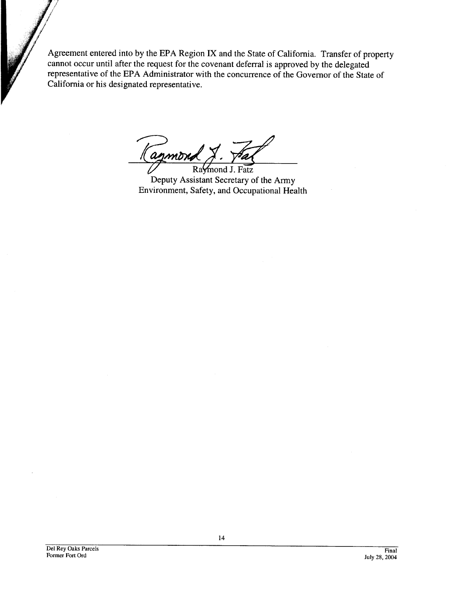Agreement entered into by the EPA Region IX and the State of California. Transfer of property cannot occur until after the request for the covenant deferral is approved by the delegated representative of the EPA Administrator with the concurrence of the Governor of the State of California or his designated representative.

lagmon

Raymond J. Fatz Deputy Assistant Secretary of the Army Environment, Safety, and Occupational Health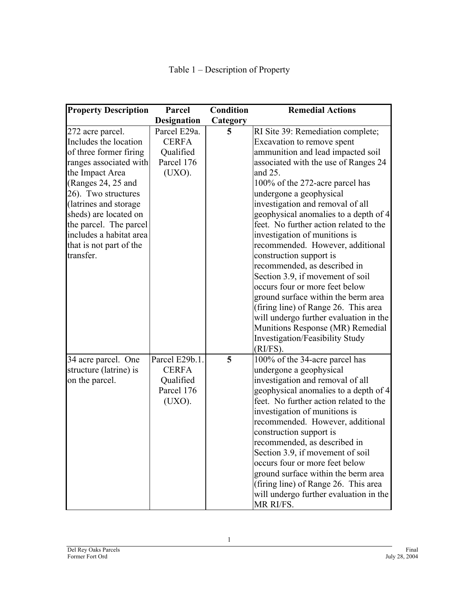| <b>Property Description</b>                                                                                                                                                                                                                                                                                   | Parcel                                                              | <b>Condition</b> | <b>Remedial Actions</b>                                                                                                                                                                                                                                                                                                                                                                                                                                                                                                                                                                                                                                                                                                                                           |
|---------------------------------------------------------------------------------------------------------------------------------------------------------------------------------------------------------------------------------------------------------------------------------------------------------------|---------------------------------------------------------------------|------------------|-------------------------------------------------------------------------------------------------------------------------------------------------------------------------------------------------------------------------------------------------------------------------------------------------------------------------------------------------------------------------------------------------------------------------------------------------------------------------------------------------------------------------------------------------------------------------------------------------------------------------------------------------------------------------------------------------------------------------------------------------------------------|
|                                                                                                                                                                                                                                                                                                               | <b>Designation</b>                                                  | Category         |                                                                                                                                                                                                                                                                                                                                                                                                                                                                                                                                                                                                                                                                                                                                                                   |
| 272 acre parcel.<br>Includes the location<br>of three former firing<br>ranges associated with<br>the Impact Area<br>(Ranges 24, 25 and<br>26). Two structures<br>(latrines and storage)<br>sheds) are located on<br>the parcel. The parcel<br>includes a habitat area<br>that is not part of the<br>transfer. | Parcel E29a.<br><b>CERFA</b><br>Qualified<br>Parcel 176<br>(UXO).   | 5                | RI Site 39: Remediation complete;<br>Excavation to remove spent<br>ammunition and lead impacted soil<br>associated with the use of Ranges 24<br>and 25.<br>100% of the 272-acre parcel has<br>undergone a geophysical<br>investigation and removal of all<br>geophysical anomalies to a depth of 4<br>feet. No further action related to the<br>investigation of munitions is<br>recommended. However, additional<br>construction support is<br>recommended, as described in<br>Section 3.9, if movement of soil<br>occurs four or more feet below<br>ground surface within the berm area<br>(firing line) of Range 26. This area<br>will undergo further evaluation in the<br>Munitions Response (MR) Remedial<br>Investigation/Feasibility Study<br>$(RI/FS)$ . |
| 34 acre parcel. One<br>structure (latrine) is<br>on the parcel.                                                                                                                                                                                                                                               | Parcel E29b.1.<br><b>CERFA</b><br>Qualified<br>Parcel 176<br>(UXO). | 5                | 100% of the 34-acre parcel has<br>undergone a geophysical<br>investigation and removal of all<br>geophysical anomalies to a depth of 4<br>feet. No further action related to the<br>investigation of munitions is<br>recommended. However, additional<br>construction support is<br>recommended, as described in<br>Section 3.9, if movement of soil<br>occurs four or more feet below<br>ground surface within the berm area<br>(firing line) of Range 26. This area<br>will undergo further evaluation in the<br>MR RI/FS.                                                                                                                                                                                                                                      |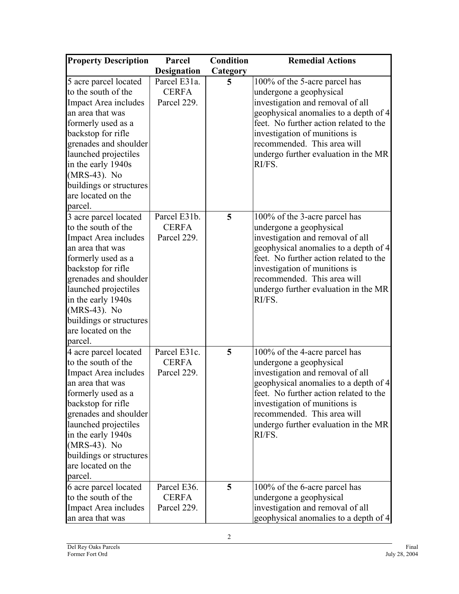| <b>Property Description</b>                                                                                                                                                                                                                                                             | Parcel                                      | <b>Condition</b> | <b>Remedial Actions</b>                                                                                                                                                                                                                                                                           |
|-----------------------------------------------------------------------------------------------------------------------------------------------------------------------------------------------------------------------------------------------------------------------------------------|---------------------------------------------|------------------|---------------------------------------------------------------------------------------------------------------------------------------------------------------------------------------------------------------------------------------------------------------------------------------------------|
|                                                                                                                                                                                                                                                                                         | <b>Designation</b>                          | Category         |                                                                                                                                                                                                                                                                                                   |
| 5 acre parcel located<br>to the south of the<br>Impact Area includes<br>an area that was<br>formerly used as a<br>backstop for rifle<br>grenades and shoulder<br>launched projectiles<br>in the early 1940s<br>(MRS-43). No<br>buildings or structures<br>are located on the<br>parcel. | Parcel E31a.<br><b>CERFA</b><br>Parcel 229. | 5                | 100% of the 5-acre parcel has<br>undergone a geophysical<br>investigation and removal of all<br>geophysical anomalies to a depth of 4<br>feet. No further action related to the<br>investigation of munitions is<br>recommended. This area will<br>undergo further evaluation in the MR<br>RI/FS. |
| 3 acre parcel located<br>to the south of the<br>Impact Area includes<br>an area that was<br>formerly used as a<br>backstop for rifle<br>grenades and shoulder<br>launched projectiles<br>in the early 1940s<br>(MRS-43). No<br>buildings or structures<br>are located on the<br>parcel. | Parcel E31b.<br><b>CERFA</b><br>Parcel 229. | 5                | 100% of the 3-acre parcel has<br>undergone a geophysical<br>investigation and removal of all<br>geophysical anomalies to a depth of 4<br>feet. No further action related to the<br>investigation of munitions is<br>recommended. This area will<br>undergo further evaluation in the MR<br>RI/FS. |
| 4 acre parcel located<br>to the south of the<br>Impact Area includes<br>an area that was<br>formerly used as a<br>backstop for rifle<br>grenades and shoulder<br>launched projectiles<br>in the early 1940s<br>(MRS-43). No<br>buildings or structures<br>are located on the<br>parcel. | Parcel E31c.<br><b>CERFA</b><br>Parcel 229. | 5                | 100% of the 4-acre parcel has<br>undergone a geophysical<br>investigation and removal of all<br>geophysical anomalies to a depth of 4<br>feet. No further action related to the<br>investigation of munitions is<br>recommended. This area will<br>undergo further evaluation in the MR<br>RI/FS. |
| 6 acre parcel located<br>to the south of the<br>Impact Area includes<br>an area that was                                                                                                                                                                                                | Parcel E36.<br><b>CERFA</b><br>Parcel 229.  | 5                | 100% of the 6-acre parcel has<br>undergone a geophysical<br>investigation and removal of all<br>geophysical anomalies to a depth of 4                                                                                                                                                             |

2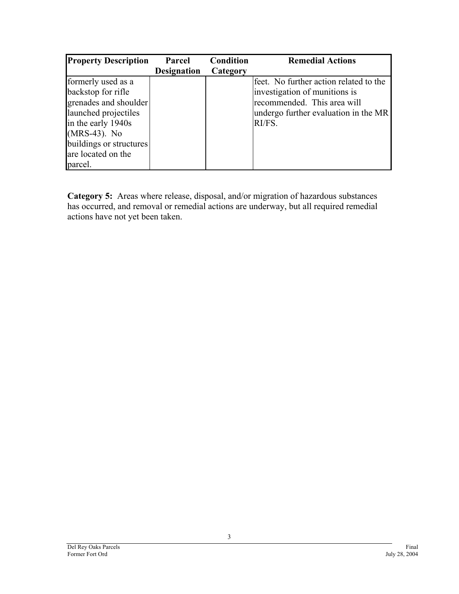| <b>Property Description</b> | Parcel             | <b>Condition</b> | <b>Remedial Actions</b>                |
|-----------------------------|--------------------|------------------|----------------------------------------|
|                             | <b>Designation</b> | Category         |                                        |
| formerly used as a          |                    |                  | feet. No further action related to the |
| backstop for rifle          |                    |                  | investigation of munitions is          |
| grenades and shoulder       |                    |                  | recommended. This area will            |
| launched projectiles        |                    |                  | undergo further evaluation in the MR   |
| in the early 1940s          |                    |                  | RI/FS.                                 |
| (MRS-43). No                |                    |                  |                                        |
| buildings or structures     |                    |                  |                                        |
| are located on the          |                    |                  |                                        |
| parcel.                     |                    |                  |                                        |

**Category 5:** Areas where release, disposal, and/or migration of hazardous substances has occurred, and removal or remedial actions are underway, but all required remedial actions have not yet been taken.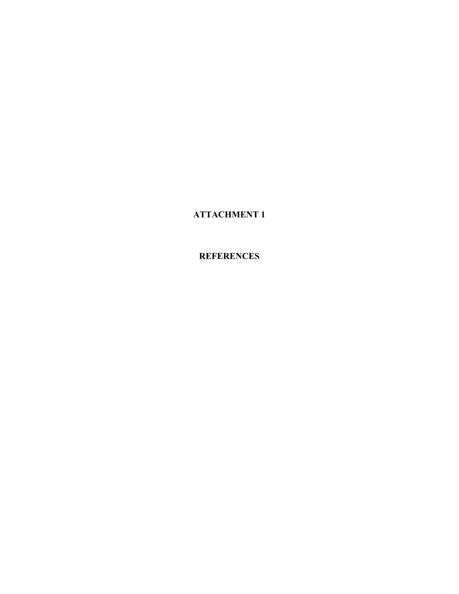**ATTACHMENT 1** 

**REFERENCES**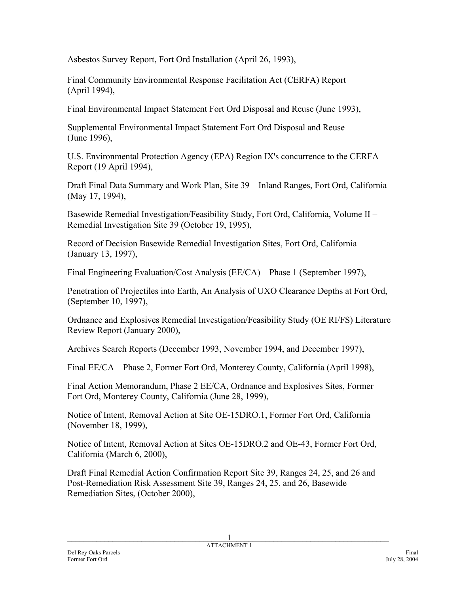Asbestos Survey Report, Fort Ord Installation (April 26, 1993),

Final Community Environmental Response Facilitation Act (CERFA) Report (April 1994),

Final Environmental Impact Statement Fort Ord Disposal and Reuse (June 1993),

Supplemental Environmental Impact Statement Fort Ord Disposal and Reuse (June 1996),

U.S. Environmental Protection Agency (EPA) Region IX's concurrence to the CERFA Report (19 April 1994),

Draft Final Data Summary and Work Plan, Site 39 – Inland Ranges, Fort Ord, California (May 17, 1994),

Basewide Remedial Investigation/Feasibility Study, Fort Ord, California, Volume II – Remedial Investigation Site 39 (October 19, 1995),

Record of Decision Basewide Remedial Investigation Sites, Fort Ord, California (January 13, 1997),

Final Engineering Evaluation/Cost Analysis (EE/CA) – Phase 1 (September 1997),

Penetration of Projectiles into Earth, An Analysis of UXO Clearance Depths at Fort Ord, (September 10, 1997),

Ordnance and Explosives Remedial Investigation/Feasibility Study (OE RI/FS) Literature Review Report (January 2000),

Archives Search Reports (December 1993, November 1994, and December 1997),

Final EE/CA – Phase 2, Former Fort Ord, Monterey County, California (April 1998),

Final Action Memorandum, Phase 2 EE/CA, Ordnance and Explosives Sites, Former Fort Ord, Monterey County, California (June 28, 1999),

Notice of Intent, Removal Action at Site OE-15DRO.1, Former Fort Ord, California (November 18, 1999),

Notice of Intent, Removal Action at Sites OE-15DRO.2 and OE-43, Former Fort Ord, California (March 6, 2000),

Draft Final Remedial Action Confirmation Report Site 39, Ranges 24, 25, and 26 and Post-Remediation Risk Assessment Site 39, Ranges 24, 25, and 26, Basewide Remediation Sites, (October 2000),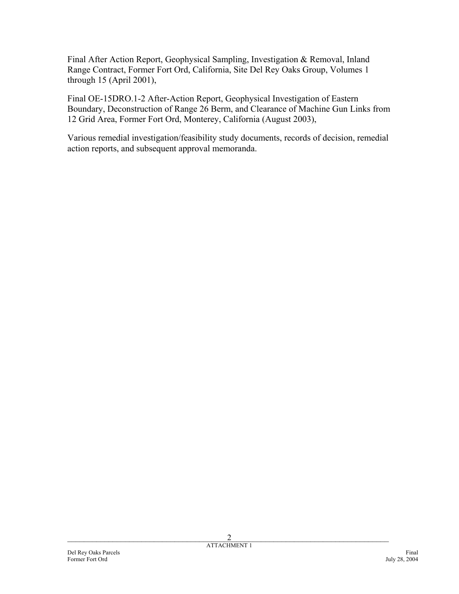Final After Action Report, Geophysical Sampling, Investigation & Removal, Inland Range Contract, Former Fort Ord, California, Site Del Rey Oaks Group, Volumes 1 through 15 (April 2001),

Final OE-15DRO.1-2 After-Action Report, Geophysical Investigation of Eastern Boundary, Deconstruction of Range 26 Berm, and Clearance of Machine Gun Links from 12 Grid Area, Former Fort Ord, Monterey, California (August 2003),

Various remedial investigation/feasibility study documents, records of decision, remedial action reports, and subsequent approval memoranda.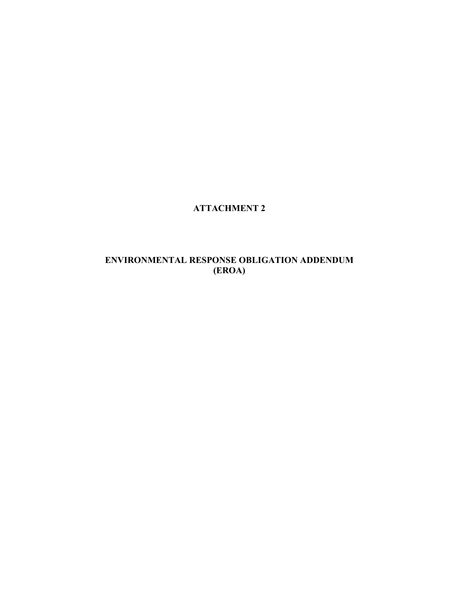## **ATTACHMENT 2**

### **ENVIRONMENTAL RESPONSE OBLIGATION ADDENDUM (EROA)**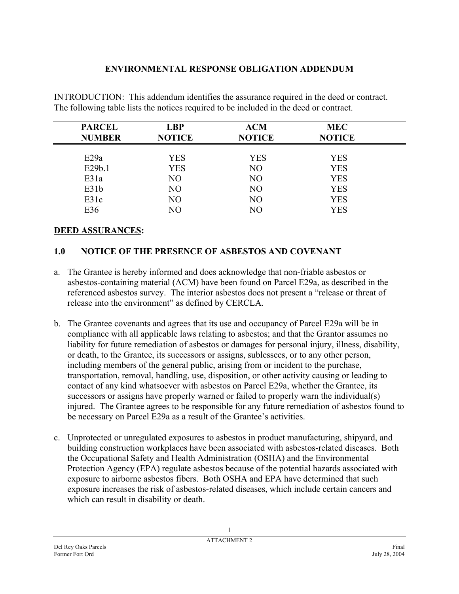### **ENVIRONMENTAL RESPONSE OBLIGATION ADDENDUM**

INTRODUCTION: This addendum identifies the assurance required in the deed or contract. The following table lists the notices required to be included in the deed or contract.

| <b>PARCEL</b> | <b>LBP</b>     | <b>ACM</b>     | <b>MEC</b>    |  |
|---------------|----------------|----------------|---------------|--|
| <b>NUMBER</b> | <b>NOTICE</b>  | <b>NOTICE</b>  | <b>NOTICE</b> |  |
| E29a          | <b>YES</b>     | <b>YES</b>     | <b>YES</b>    |  |
| E29b.1        | <b>YES</b>     | N <sub>O</sub> | <b>YES</b>    |  |
| E31a          | NO             | N <sub>O</sub> | <b>YES</b>    |  |
| E31b          | N <sub>O</sub> | N <sub>O</sub> | <b>YES</b>    |  |
| E31c          | N <sub>O</sub> | N <sub>O</sub> | <b>YES</b>    |  |
| E36           | NO             | NO             | <b>YES</b>    |  |

#### **DEED ASSURANCES:**

### **1.0 NOTICE OF THE PRESENCE OF ASBESTOS AND COVENANT**

- a. The Grantee is hereby informed and does acknowledge that non-friable asbestos or asbestos-containing material (ACM) have been found on Parcel E29a, as described in the referenced asbestos survey. The interior asbestos does not present a "release or threat of release into the environment" as defined by CERCLA.
- b. The Grantee covenants and agrees that its use and occupancy of Parcel E29a will be in compliance with all applicable laws relating to asbestos; and that the Grantor assumes no liability for future remediation of asbestos or damages for personal injury, illness, disability, or death, to the Grantee, its successors or assigns, sublessees, or to any other person, including members of the general public, arising from or incident to the purchase, transportation, removal, handling, use, disposition, or other activity causing or leading to contact of any kind whatsoever with asbestos on Parcel E29a, whether the Grantee, its successors or assigns have properly warned or failed to properly warn the individual(s) injured. The Grantee agrees to be responsible for any future remediation of asbestos found to be necessary on Parcel E29a as a result of the Grantee's activities.
- c. Unprotected or unregulated exposures to asbestos in product manufacturing, shipyard, and building construction workplaces have been associated with asbestos-related diseases. Both the Occupational Safety and Health Administration (OSHA) and the Environmental Protection Agency (EPA) regulate asbestos because of the potential hazards associated with exposure to airborne asbestos fibers. Both OSHA and EPA have determined that such exposure increases the risk of asbestos-related diseases, which include certain cancers and which can result in disability or death.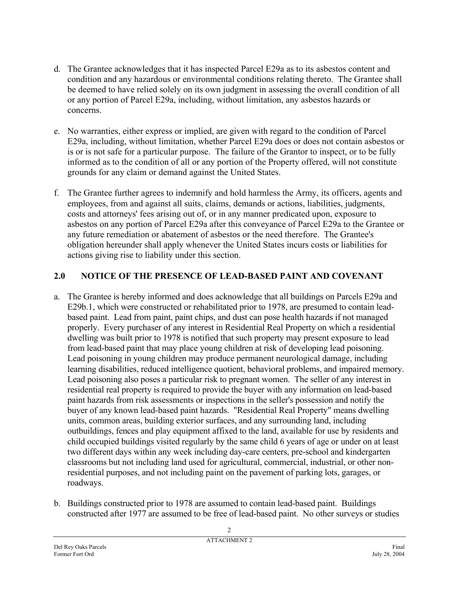- d. The Grantee acknowledges that it has inspected Parcel E29a as to its asbestos content and condition and any hazardous or environmental conditions relating thereto. The Grantee shall be deemed to have relied solely on its own judgment in assessing the overall condition of all or any portion of Parcel E29a, including, without limitation, any asbestos hazards or concerns.
- e. No warranties, either express or implied, are given with regard to the condition of Parcel E29a, including, without limitation, whether Parcel E29a does or does not contain asbestos or is or is not safe for a particular purpose. The failure of the Grantor to inspect, or to be fully informed as to the condition of all or any portion of the Property offered, will not constitute grounds for any claim or demand against the United States.
- f. The Grantee further agrees to indemnify and hold harmless the Army, its officers, agents and employees, from and against all suits, claims, demands or actions, liabilities, judgments, costs and attorneys' fees arising out of, or in any manner predicated upon, exposure to asbestos on any portion of Parcel E29a after this conveyance of Parcel E29a to the Grantee or any future remediation or abatement of asbestos or the need therefore. The Grantee's obligation hereunder shall apply whenever the United States incurs costs or liabilities for actions giving rise to liability under this section.

## **2.0 NOTICE OF THE PRESENCE OF LEAD-BASED PAINT AND COVENANT**

- a. The Grantee is hereby informed and does acknowledge that all buildings on Parcels E29a and E29b.1, which were constructed or rehabilitated prior to 1978, are presumed to contain leadbased paint. Lead from paint, paint chips, and dust can pose health hazards if not managed properly. Every purchaser of any interest in Residential Real Property on which a residential dwelling was built prior to 1978 is notified that such property may present exposure to lead from lead-based paint that may place young children at risk of developing lead poisoning. Lead poisoning in young children may produce permanent neurological damage, including learning disabilities, reduced intelligence quotient, behavioral problems, and impaired memory. Lead poisoning also poses a particular risk to pregnant women. The seller of any interest in residential real property is required to provide the buyer with any information on lead-based paint hazards from risk assessments or inspections in the seller's possession and notify the buyer of any known lead-based paint hazards. "Residential Real Property" means dwelling units, common areas, building exterior surfaces, and any surrounding land, including outbuildings, fences and play equipment affixed to the land, available for use by residents and child occupied buildings visited regularly by the same child 6 years of age or under on at least two different days within any week including day-care centers, pre-school and kindergarten classrooms but not including land used for agricultural, commercial, industrial, or other nonresidential purposes, and not including paint on the pavement of parking lots, garages, or roadways.
- b. Buildings constructed prior to 1978 are assumed to contain lead-based paint. Buildings constructed after 1977 are assumed to be free of lead-based paint. No other surveys or studies

Del Rey Oaks Parcels Final Former Fort Ord July 28, 2004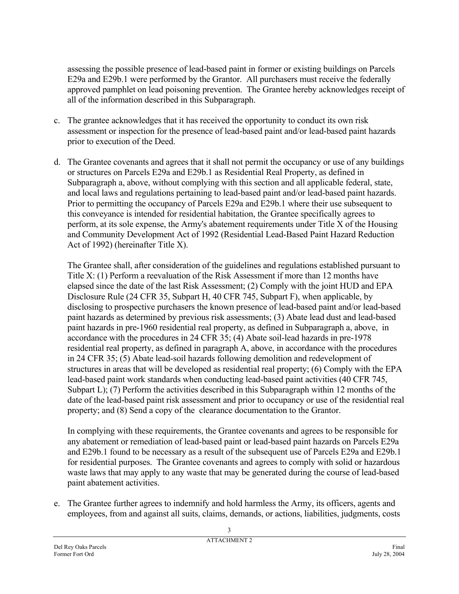assessing the possible presence of lead-based paint in former or existing buildings on Parcels E29a and E29b.1 were performed by the Grantor. All purchasers must receive the federally approved pamphlet on lead poisoning prevention. The Grantee hereby acknowledges receipt of all of the information described in this Subparagraph.

- c. The grantee acknowledges that it has received the opportunity to conduct its own risk assessment or inspection for the presence of lead-based paint and/or lead-based paint hazards prior to execution of the Deed.
- d. The Grantee covenants and agrees that it shall not permit the occupancy or use of any buildings or structures on Parcels E29a and E29b.1 as Residential Real Property, as defined in Subparagraph a, above, without complying with this section and all applicable federal, state, and local laws and regulations pertaining to lead-based paint and/or lead-based paint hazards. Prior to permitting the occupancy of Parcels E29a and E29b.1 where their use subsequent to this conveyance is intended for residential habitation, the Grantee specifically agrees to perform, at its sole expense, the Army's abatement requirements under Title X of the Housing and Community Development Act of 1992 (Residential Lead-Based Paint Hazard Reduction Act of 1992) (hereinafter Title X).

The Grantee shall, after consideration of the guidelines and regulations established pursuant to Title X: (1) Perform a reevaluation of the Risk Assessment if more than 12 months have elapsed since the date of the last Risk Assessment; (2) Comply with the joint HUD and EPA Disclosure Rule (24 CFR 35, Subpart H, 40 CFR 745, Subpart F), when applicable, by disclosing to prospective purchasers the known presence of lead-based paint and/or lead-based paint hazards as determined by previous risk assessments; (3) Abate lead dust and lead-based paint hazards in pre-1960 residential real property, as defined in Subparagraph a, above, in accordance with the procedures in 24 CFR 35; (4) Abate soil-lead hazards in pre-1978 residential real property, as defined in paragraph A, above, in accordance with the procedures in 24 CFR 35; (5) Abate lead-soil hazards following demolition and redevelopment of structures in areas that will be developed as residential real property; (6) Comply with the EPA lead-based paint work standards when conducting lead-based paint activities (40 CFR 745, Subpart L); (7) Perform the activities described in this Subparagraph within 12 months of the date of the lead-based paint risk assessment and prior to occupancy or use of the residential real property; and (8) Send a copy of the clearance documentation to the Grantor.

In complying with these requirements, the Grantee covenants and agrees to be responsible for any abatement or remediation of lead-based paint or lead-based paint hazards on Parcels E29a and E29b.1 found to be necessary as a result of the subsequent use of Parcels E29a and E29b.1 for residential purposes. The Grantee covenants and agrees to comply with solid or hazardous waste laws that may apply to any waste that may be generated during the course of lead-based paint abatement activities.

e. The Grantee further agrees to indemnify and hold harmless the Army, its officers, agents and employees, from and against all suits, claims, demands, or actions, liabilities, judgments, costs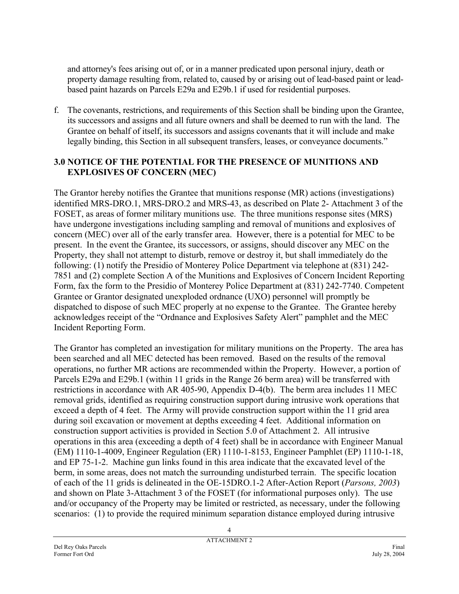and attorney's fees arising out of, or in a manner predicated upon personal injury, death or property damage resulting from, related to, caused by or arising out of lead-based paint or leadbased paint hazards on Parcels E29a and E29b.1 if used for residential purposes.

f. The covenants, restrictions, and requirements of this Section shall be binding upon the Grantee, its successors and assigns and all future owners and shall be deemed to run with the land. The Grantee on behalf of itself, its successors and assigns covenants that it will include and make legally binding, this Section in all subsequent transfers, leases, or conveyance documents."

### **3.0 NOTICE OF THE POTENTIAL FOR THE PRESENCE OF MUNITIONS AND EXPLOSIVES OF CONCERN (MEC)**

The Grantor hereby notifies the Grantee that munitions response (MR) actions (investigations) identified MRS-DRO.1, MRS-DRO.2 and MRS-43, as described on Plate 2- Attachment 3 of the FOSET, as areas of former military munitions use. The three munitions response sites (MRS) have undergone investigations including sampling and removal of munitions and explosives of concern (MEC) over all of the early transfer area. However, there is a potential for MEC to be present. In the event the Grantee, its successors, or assigns, should discover any MEC on the Property, they shall not attempt to disturb, remove or destroy it, but shall immediately do the following: (1) notify the Presidio of Monterey Police Department via telephone at (831) 242- 7851 and (2) complete Section A of the Munitions and Explosives of Concern Incident Reporting Form, fax the form to the Presidio of Monterey Police Department at (831) 242-7740. Competent Grantee or Grantor designated unexploded ordnance (UXO) personnel will promptly be dispatched to dispose of such MEC properly at no expense to the Grantee. The Grantee hereby acknowledges receipt of the "Ordnance and Explosives Safety Alert" pamphlet and the MEC Incident Reporting Form.

The Grantor has completed an investigation for military munitions on the Property. The area has been searched and all MEC detected has been removed. Based on the results of the removal operations, no further MR actions are recommended within the Property. However, a portion of Parcels E29a and E29b.1 (within 11 grids in the Range 26 berm area) will be transferred with restrictions in accordance with AR 405-90, Appendix D-4(b). The berm area includes 11 MEC removal grids, identified as requiring construction support during intrusive work operations that exceed a depth of 4 feet. The Army will provide construction support within the 11 grid area during soil excavation or movement at depths exceeding 4 feet. Additional information on construction support activities is provided in Section 5.0 of Attachment 2. All intrusive operations in this area (exceeding a depth of 4 feet) shall be in accordance with Engineer Manual (EM) 1110-1-4009, Engineer Regulation (ER) 1110-1-8153, Engineer Pamphlet (EP) 1110-1-18, and EP 75-1-2. Machine gun links found in this area indicate that the excavated level of the berm, in some areas, does not match the surrounding undisturbed terrain. The specific location of each of the 11 grids is delineated in the OE-15DRO.1-2 After-Action Report (*Parsons, 2003*) and shown on Plate 3-Attachment 3 of the FOSET (for informational purposes only). The use and/or occupancy of the Property may be limited or restricted, as necessary, under the following scenarios: (1) to provide the required minimum separation distance employed during intrusive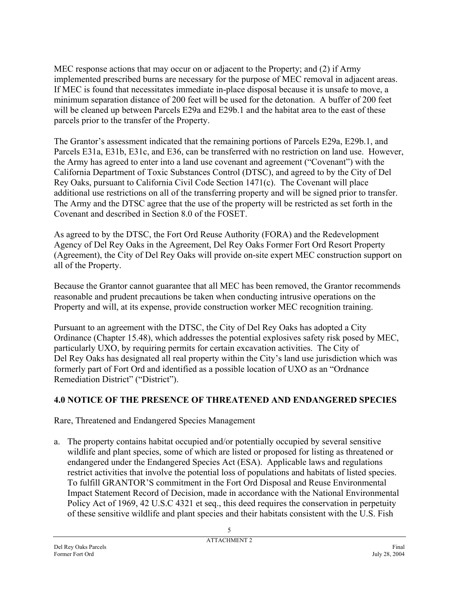MEC response actions that may occur on or adjacent to the Property; and (2) if Army implemented prescribed burns are necessary for the purpose of MEC removal in adjacent areas. If MEC is found that necessitates immediate in-place disposal because it is unsafe to move, a minimum separation distance of 200 feet will be used for the detonation. A buffer of 200 feet will be cleaned up between Parcels E29a and E29b.1 and the habitat area to the east of these parcels prior to the transfer of the Property.

The Grantor's assessment indicated that the remaining portions of Parcels E29a, E29b.1, and Parcels E31a, E31b, E31c, and E36, can be transferred with no restriction on land use. However, the Army has agreed to enter into a land use covenant and agreement ("Covenant") with the California Department of Toxic Substances Control (DTSC), and agreed to by the City of Del Rey Oaks, pursuant to California Civil Code Section 1471(c). The Covenant will place additional use restrictions on all of the transferring property and will be signed prior to transfer. The Army and the DTSC agree that the use of the property will be restricted as set forth in the Covenant and described in Section 8.0 of the FOSET.

As agreed to by the DTSC, the Fort Ord Reuse Authority (FORA) and the Redevelopment Agency of Del Rey Oaks in the Agreement, Del Rey Oaks Former Fort Ord Resort Property (Agreement), the City of Del Rey Oaks will provide on-site expert MEC construction support on all of the Property.

Because the Grantor cannot guarantee that all MEC has been removed, the Grantor recommends reasonable and prudent precautions be taken when conducting intrusive operations on the Property and will, at its expense, provide construction worker MEC recognition training.

Pursuant to an agreement with the DTSC, the City of Del Rey Oaks has adopted a City Ordinance (Chapter 15.48), which addresses the potential explosives safety risk posed by MEC, particularly UXO, by requiring permits for certain excavation activities. The City of Del Rey Oaks has designated all real property within the City's land use jurisdiction which was formerly part of Fort Ord and identified as a possible location of UXO as an "Ordnance Remediation District" ("District").

### **4.0 NOTICE OF THE PRESENCE OF THREATENED AND ENDANGERED SPECIES**

Rare, Threatened and Endangered Species Management

a. The property contains habitat occupied and/or potentially occupied by several sensitive wildlife and plant species, some of which are listed or proposed for listing as threatened or endangered under the Endangered Species Act (ESA). Applicable laws and regulations restrict activities that involve the potential loss of populations and habitats of listed species. To fulfill GRANTOR'S commitment in the Fort Ord Disposal and Reuse Environmental Impact Statement Record of Decision, made in accordance with the National Environmental Policy Act of 1969, 42 U.S.C 4321 et seq., this deed requires the conservation in perpetuity of these sensitive wildlife and plant species and their habitats consistent with the U.S. Fish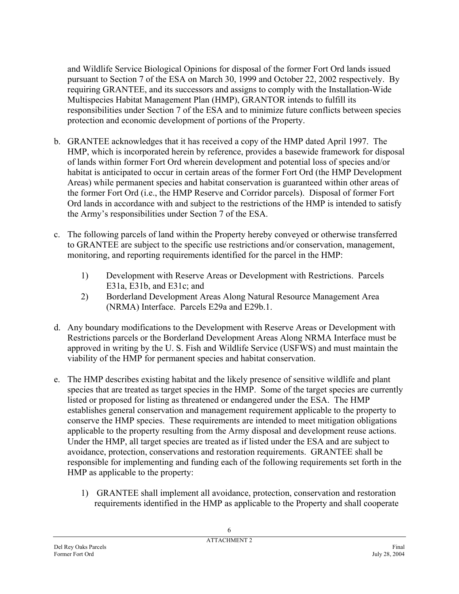and Wildlife Service Biological Opinions for disposal of the former Fort Ord lands issued pursuant to Section 7 of the ESA on March 30, 1999 and October 22, 2002 respectively. By requiring GRANTEE, and its successors and assigns to comply with the Installation-Wide Multispecies Habitat Management Plan (HMP), GRANTOR intends to fulfill its responsibilities under Section 7 of the ESA and to minimize future conflicts between species protection and economic development of portions of the Property.

- b. GRANTEE acknowledges that it has received a copy of the HMP dated April 1997. The HMP, which is incorporated herein by reference, provides a basewide framework for disposal of lands within former Fort Ord wherein development and potential loss of species and/or habitat is anticipated to occur in certain areas of the former Fort Ord (the HMP Development Areas) while permanent species and habitat conservation is guaranteed within other areas of the former Fort Ord (i.e., the HMP Reserve and Corridor parcels). Disposal of former Fort Ord lands in accordance with and subject to the restrictions of the HMP is intended to satisfy the Army's responsibilities under Section 7 of the ESA.
- c. The following parcels of land within the Property hereby conveyed or otherwise transferred to GRANTEE are subject to the specific use restrictions and/or conservation, management, monitoring, and reporting requirements identified for the parcel in the HMP:
	- 1) Development with Reserve Areas or Development with Restrictions. Parcels E31a, E31b, and E31c; and
	- 2) Borderland Development Areas Along Natural Resource Management Area (NRMA) Interface. Parcels E29a and E29b.1.
- d. Any boundary modifications to the Development with Reserve Areas or Development with Restrictions parcels or the Borderland Development Areas Along NRMA Interface must be approved in writing by the U. S. Fish and Wildlife Service (USFWS) and must maintain the viability of the HMP for permanent species and habitat conservation.
- e. The HMP describes existing habitat and the likely presence of sensitive wildlife and plant species that are treated as target species in the HMP. Some of the target species are currently listed or proposed for listing as threatened or endangered under the ESA. The HMP establishes general conservation and management requirement applicable to the property to conserve the HMP species. These requirements are intended to meet mitigation obligations applicable to the property resulting from the Army disposal and development reuse actions. Under the HMP, all target species are treated as if listed under the ESA and are subject to avoidance, protection, conservations and restoration requirements. GRANTEE shall be responsible for implementing and funding each of the following requirements set forth in the HMP as applicable to the property:
	- 1) GRANTEE shall implement all avoidance, protection, conservation and restoration requirements identified in the HMP as applicable to the Property and shall cooperate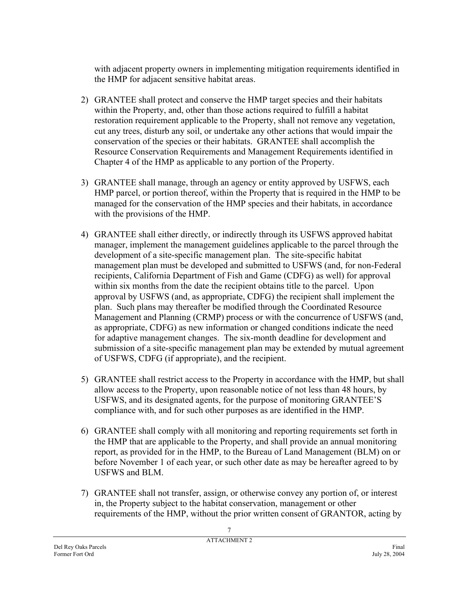with adjacent property owners in implementing mitigation requirements identified in the HMP for adjacent sensitive habitat areas.

- 2) GRANTEE shall protect and conserve the HMP target species and their habitats within the Property, and, other than those actions required to fulfill a habitat restoration requirement applicable to the Property, shall not remove any vegetation, cut any trees, disturb any soil, or undertake any other actions that would impair the conservation of the species or their habitats. GRANTEE shall accomplish the Resource Conservation Requirements and Management Requirements identified in Chapter 4 of the HMP as applicable to any portion of the Property.
- 3) GRANTEE shall manage, through an agency or entity approved by USFWS, each HMP parcel, or portion thereof, within the Property that is required in the HMP to be managed for the conservation of the HMP species and their habitats, in accordance with the provisions of the HMP.
- 4) GRANTEE shall either directly, or indirectly through its USFWS approved habitat manager, implement the management guidelines applicable to the parcel through the development of a site-specific management plan. The site-specific habitat management plan must be developed and submitted to USFWS (and, for non-Federal recipients, California Department of Fish and Game (CDFG) as well) for approval within six months from the date the recipient obtains title to the parcel. Upon approval by USFWS (and, as appropriate, CDFG) the recipient shall implement the plan. Such plans may thereafter be modified through the Coordinated Resource Management and Planning (CRMP) process or with the concurrence of USFWS (and, as appropriate, CDFG) as new information or changed conditions indicate the need for adaptive management changes. The six-month deadline for development and submission of a site-specific management plan may be extended by mutual agreement of USFWS, CDFG (if appropriate), and the recipient.
- 5) GRANTEE shall restrict access to the Property in accordance with the HMP, but shall allow access to the Property, upon reasonable notice of not less than 48 hours, by USFWS, and its designated agents, for the purpose of monitoring GRANTEE'S compliance with, and for such other purposes as are identified in the HMP.
- 6) GRANTEE shall comply with all monitoring and reporting requirements set forth in the HMP that are applicable to the Property, and shall provide an annual monitoring report, as provided for in the HMP, to the Bureau of Land Management (BLM) on or before November 1 of each year, or such other date as may be hereafter agreed to by USFWS and BLM.
- 7) GRANTEE shall not transfer, assign, or otherwise convey any portion of, or interest in, the Property subject to the habitat conservation, management or other requirements of the HMP, without the prior written consent of GRANTOR, acting by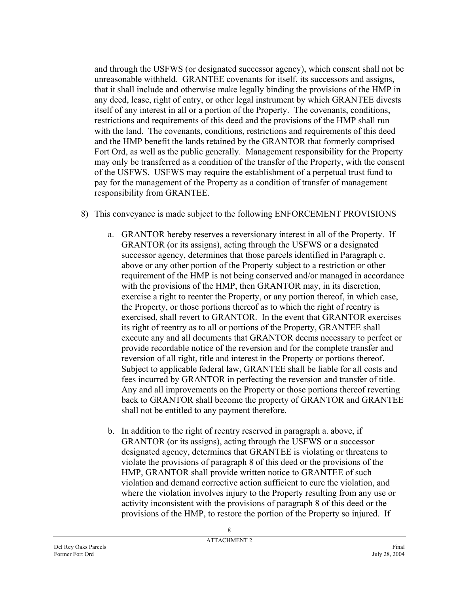and through the USFWS (or designated successor agency), which consent shall not be unreasonable withheld. GRANTEE covenants for itself, its successors and assigns, that it shall include and otherwise make legally binding the provisions of the HMP in any deed, lease, right of entry, or other legal instrument by which GRANTEE divests itself of any interest in all or a portion of the Property. The covenants, conditions, restrictions and requirements of this deed and the provisions of the HMP shall run with the land. The covenants, conditions, restrictions and requirements of this deed and the HMP benefit the lands retained by the GRANTOR that formerly comprised Fort Ord, as well as the public generally. Management responsibility for the Property may only be transferred as a condition of the transfer of the Property, with the consent of the USFWS. USFWS may require the establishment of a perpetual trust fund to pay for the management of the Property as a condition of transfer of management responsibility from GRANTEE.

- 8) This conveyance is made subject to the following ENFORCEMENT PROVISIONS
	- a. GRANTOR hereby reserves a reversionary interest in all of the Property. If GRANTOR (or its assigns), acting through the USFWS or a designated successor agency, determines that those parcels identified in Paragraph c. above or any other portion of the Property subject to a restriction or other requirement of the HMP is not being conserved and/or managed in accordance with the provisions of the HMP, then GRANTOR may, in its discretion, exercise a right to reenter the Property, or any portion thereof, in which case, the Property, or those portions thereof as to which the right of reentry is exercised, shall revert to GRANTOR. In the event that GRANTOR exercises its right of reentry as to all or portions of the Property, GRANTEE shall execute any and all documents that GRANTOR deems necessary to perfect or provide recordable notice of the reversion and for the complete transfer and reversion of all right, title and interest in the Property or portions thereof. Subject to applicable federal law, GRANTEE shall be liable for all costs and fees incurred by GRANTOR in perfecting the reversion and transfer of title. Any and all improvements on the Property or those portions thereof reverting back to GRANTOR shall become the property of GRANTOR and GRANTEE shall not be entitled to any payment therefore.
	- b. In addition to the right of reentry reserved in paragraph a. above, if GRANTOR (or its assigns), acting through the USFWS or a successor designated agency, determines that GRANTEE is violating or threatens to violate the provisions of paragraph 8 of this deed or the provisions of the HMP, GRANTOR shall provide written notice to GRANTEE of such violation and demand corrective action sufficient to cure the violation, and where the violation involves injury to the Property resulting from any use or activity inconsistent with the provisions of paragraph 8 of this deed or the provisions of the HMP, to restore the portion of the Property so injured. If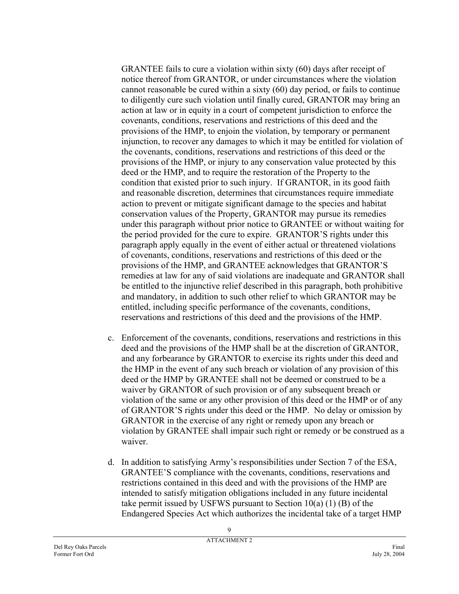GRANTEE fails to cure a violation within sixty (60) days after receipt of notice thereof from GRANTOR, or under circumstances where the violation cannot reasonable be cured within a sixty (60) day period, or fails to continue to diligently cure such violation until finally cured, GRANTOR may bring an action at law or in equity in a court of competent jurisdiction to enforce the covenants, conditions, reservations and restrictions of this deed and the provisions of the HMP, to enjoin the violation, by temporary or permanent injunction, to recover any damages to which it may be entitled for violation of the covenants, conditions, reservations and restrictions of this deed or the provisions of the HMP, or injury to any conservation value protected by this deed or the HMP, and to require the restoration of the Property to the condition that existed prior to such injury. If GRANTOR, in its good faith and reasonable discretion, determines that circumstances require immediate action to prevent or mitigate significant damage to the species and habitat conservation values of the Property, GRANTOR may pursue its remedies under this paragraph without prior notice to GRANTEE or without waiting for the period provided for the cure to expire. GRANTOR'S rights under this paragraph apply equally in the event of either actual or threatened violations of covenants, conditions, reservations and restrictions of this deed or the provisions of the HMP, and GRANTEE acknowledges that GRANTOR'S remedies at law for any of said violations are inadequate and GRANTOR shall be entitled to the injunctive relief described in this paragraph, both prohibitive and mandatory, in addition to such other relief to which GRANTOR may be entitled, including specific performance of the covenants, conditions, reservations and restrictions of this deed and the provisions of the HMP.

- c. Enforcement of the covenants, conditions, reservations and restrictions in this deed and the provisions of the HMP shall be at the discretion of GRANTOR, and any forbearance by GRANTOR to exercise its rights under this deed and the HMP in the event of any such breach or violation of any provision of this deed or the HMP by GRANTEE shall not be deemed or construed to be a waiver by GRANTOR of such provision or of any subsequent breach or violation of the same or any other provision of this deed or the HMP or of any of GRANTOR'S rights under this deed or the HMP. No delay or omission by GRANTOR in the exercise of any right or remedy upon any breach or violation by GRANTEE shall impair such right or remedy or be construed as a waiver.
- d. In addition to satisfying Army's responsibilities under Section 7 of the ESA, GRANTEE'S compliance with the covenants, conditions, reservations and restrictions contained in this deed and with the provisions of the HMP are intended to satisfy mitigation obligations included in any future incidental take permit issued by USFWS pursuant to Section 10(a) (1) (B) of the Endangered Species Act which authorizes the incidental take of a target HMP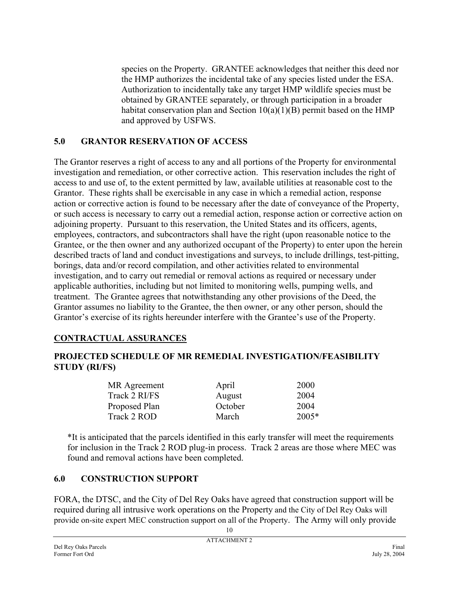species on the Property. GRANTEE acknowledges that neither this deed nor the HMP authorizes the incidental take of any species listed under the ESA. Authorization to incidentally take any target HMP wildlife species must be obtained by GRANTEE separately, or through participation in a broader habitat conservation plan and Section  $10(a)(1)(B)$  permit based on the HMP and approved by USFWS.

### **5.0 GRANTOR RESERVATION OF ACCESS**

The Grantor reserves a right of access to any and all portions of the Property for environmental investigation and remediation, or other corrective action. This reservation includes the right of access to and use of, to the extent permitted by law, available utilities at reasonable cost to the Grantor. These rights shall be exercisable in any case in which a remedial action, response action or corrective action is found to be necessary after the date of conveyance of the Property, or such access is necessary to carry out a remedial action, response action or corrective action on adjoining property. Pursuant to this reservation, the United States and its officers, agents, employees, contractors, and subcontractors shall have the right (upon reasonable notice to the Grantee, or the then owner and any authorized occupant of the Property) to enter upon the herein described tracts of land and conduct investigations and surveys, to include drillings, test-pitting, borings, data and/or record compilation, and other activities related to environmental investigation, and to carry out remedial or removal actions as required or necessary under applicable authorities, including but not limited to monitoring wells, pumping wells, and treatment. The Grantee agrees that notwithstanding any other provisions of the Deed, the Grantor assumes no liability to the Grantee, the then owner, or any other person, should the Grantor's exercise of its rights hereunder interfere with the Grantee's use of the Property.

### **CONTRACTUAL ASSURANCES**

### **PROJECTED SCHEDULE OF MR REMEDIAL INVESTIGATION/FEASIBILITY STUDY (RI/FS)**

| MR Agreement  | April   | 2000    |
|---------------|---------|---------|
| Track 2 RI/FS | August  | 2004    |
| Proposed Plan | October | 2004    |
| Track 2 ROD   | March   | $2005*$ |
|               |         |         |

\*It is anticipated that the parcels identified in this early transfer will meet the requirements for inclusion in the Track 2 ROD plug-in process. Track 2 areas are those where MEC was found and removal actions have been completed.

### **6.0 CONSTRUCTION SUPPORT**

10 FORA, the DTSC, and the City of Del Rey Oaks have agreed that construction support will be required during all intrusive work operations on the Property and the City of Del Rey Oaks will provide on-site expert MEC construction support on all of the Property. The Army will only provide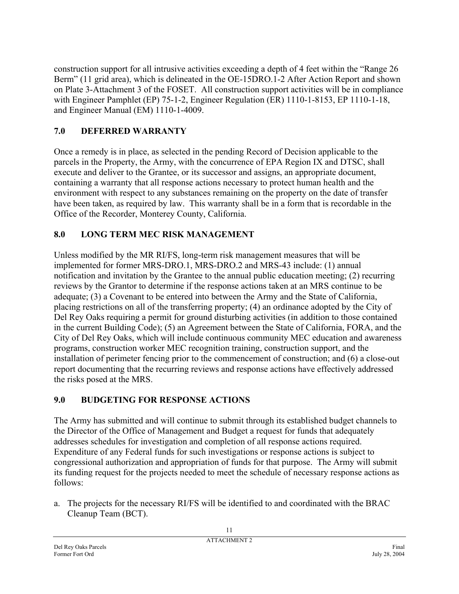construction support for all intrusive activities exceeding a depth of 4 feet within the "Range 26 Berm" (11 grid area), which is delineated in the OE-15DRO.1-2 After Action Report and shown on Plate 3-Attachment 3 of the FOSET. All construction support activities will be in compliance with Engineer Pamphlet (EP) 75-1-2, Engineer Regulation (ER) 1110-1-8153, EP 1110-1-18, and Engineer Manual (EM) 1110-1-4009.

## **7.0 DEFERRED WARRANTY**

Once a remedy is in place, as selected in the pending Record of Decision applicable to the parcels in the Property, the Army, with the concurrence of EPA Region IX and DTSC, shall execute and deliver to the Grantee, or its successor and assigns, an appropriate document, containing a warranty that all response actions necessary to protect human health and the environment with respect to any substances remaining on the property on the date of transfer have been taken, as required by law. This warranty shall be in a form that is recordable in the Office of the Recorder, Monterey County, California.

## **8.0 LONG TERM MEC RISK MANAGEMENT**

Unless modified by the MR RI/FS, long-term risk management measures that will be implemented for former MRS-DRO.1, MRS-DRO.2 and MRS-43 include: (1) annual notification and invitation by the Grantee to the annual public education meeting; (2) recurring reviews by the Grantor to determine if the response actions taken at an MRS continue to be adequate; (3) a Covenant to be entered into between the Army and the State of California, placing restrictions on all of the transferring property; (4) an ordinance adopted by the City of Del Rey Oaks requiring a permit for ground disturbing activities (in addition to those contained in the current Building Code); (5) an Agreement between the State of California, FORA, and the City of Del Rey Oaks, which will include continuous community MEC education and awareness programs, construction worker MEC recognition training, construction support, and the installation of perimeter fencing prior to the commencement of construction; and (6) a close-out report documenting that the recurring reviews and response actions have effectively addressed the risks posed at the MRS.

## **9.0 BUDGETING FOR RESPONSE ACTIONS**

The Army has submitted and will continue to submit through its established budget channels to the Director of the Office of Management and Budget a request for funds that adequately addresses schedules for investigation and completion of all response actions required. Expenditure of any Federal funds for such investigations or response actions is subject to congressional authorization and appropriation of funds for that purpose. The Army will submit its funding request for the projects needed to meet the schedule of necessary response actions as follows:

a. The projects for the necessary RI/FS will be identified to and coordinated with the BRAC Cleanup Team (BCT).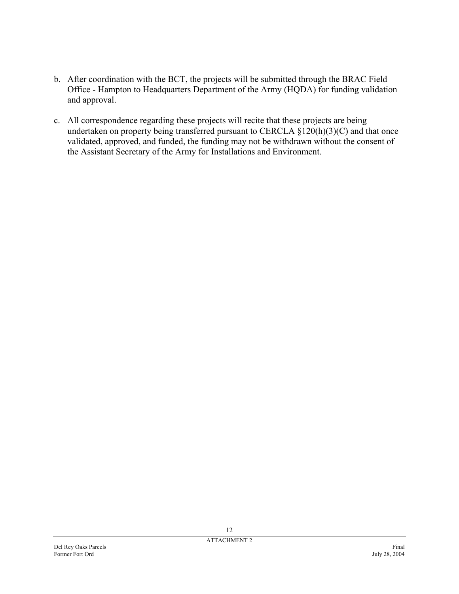- b. After coordination with the BCT, the projects will be submitted through the BRAC Field Office - Hampton to Headquarters Department of the Army (HQDA) for funding validation and approval.
- c. All correspondence regarding these projects will recite that these projects are being undertaken on property being transferred pursuant to CERCLA  $\S$ 120(h)(3)(C) and that once validated, approved, and funded, the funding may not be withdrawn without the consent of the Assistant Secretary of the Army for Installations and Environment.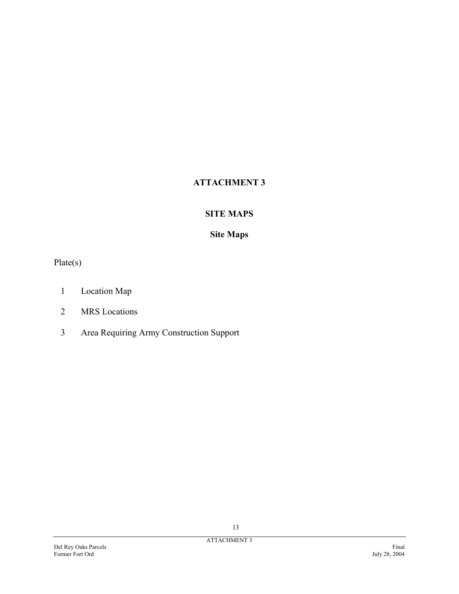## **ATTACHMENT 3**

### **SITE MAPS**

### **Site Maps**

Plate(s)

- 1 Location Map
- 2 MRS Locations
- 3 Area Requiring Army Construction Support

13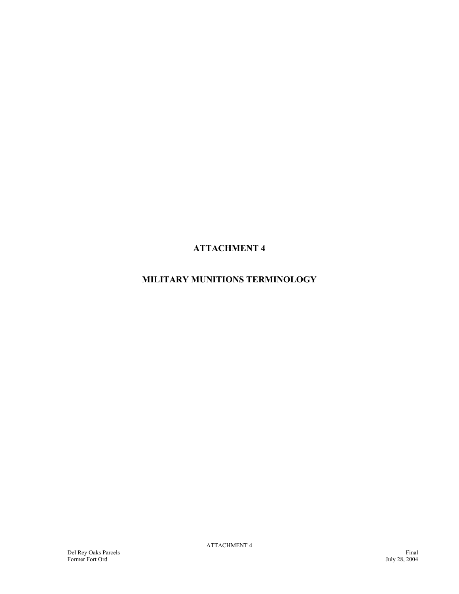**ATTACHMENT 4** 

## **MILITARY MUNITIONS TERMINOLOGY**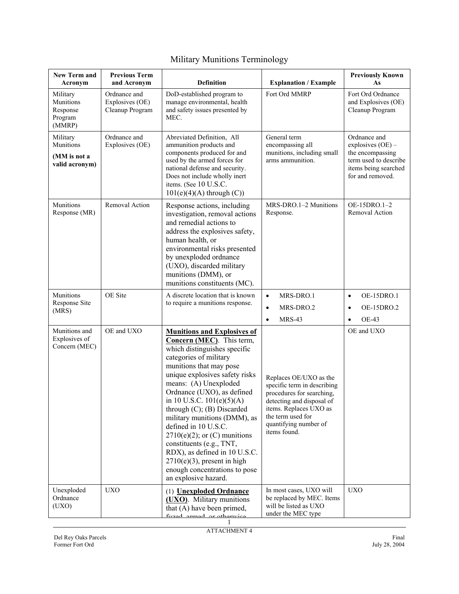| <b>New Term and</b><br>Acronym                          | <b>Previous Term</b><br>and Acronym                | <b>Definition</b>                                                                                                                                                                                                                                                                                                                                                                                                                                                                                                                                                  | <b>Explanation / Example</b>                                                                                                                                                                            | <b>Previously Known</b><br>As                                                                                                |
|---------------------------------------------------------|----------------------------------------------------|--------------------------------------------------------------------------------------------------------------------------------------------------------------------------------------------------------------------------------------------------------------------------------------------------------------------------------------------------------------------------------------------------------------------------------------------------------------------------------------------------------------------------------------------------------------------|---------------------------------------------------------------------------------------------------------------------------------------------------------------------------------------------------------|------------------------------------------------------------------------------------------------------------------------------|
| Military<br>Munitions<br>Response<br>Program<br>(MMRP)  | Ordnance and<br>Explosives (OE)<br>Cleanup Program | DoD-established program to<br>manage environmental, health<br>and safety issues presented by<br>MEC.                                                                                                                                                                                                                                                                                                                                                                                                                                                               | Fort Ord MMRP                                                                                                                                                                                           | Fort Ord Ordnance<br>and Explosives (OE)<br>Cleanup Program                                                                  |
| Military<br>Munitions<br>(MM is not a<br>valid acronym) | Ordnance and<br>Explosives (OE)                    | Abreviated Definition, All<br>ammunition products and<br>components produced for and<br>used by the armed forces for<br>national defense and security.<br>Does not include wholly inert<br>items. (See 10 U.S.C.<br>$101(e)(4)(A)$ through $(C)$ )                                                                                                                                                                                                                                                                                                                 | General term<br>encompassing all<br>munitions, including small<br>arms ammunition.                                                                                                                      | Ordnance and<br>explosives $(OE)$ –<br>the encompassing<br>term used to describe<br>items being searched<br>for and removed. |
| Munitions<br>Response (MR)                              | Removal Action                                     | Response actions, including<br>investigation, removal actions<br>and remedial actions to<br>address the explosives safety,<br>human health, or<br>environmental risks presented<br>by unexploded ordnance<br>(UXO), discarded military<br>munitions (DMM), or<br>munitions constituents (MC).                                                                                                                                                                                                                                                                      | MRS-DRO.1-2 Munitions<br>Response.                                                                                                                                                                      | OE-15DRO.1-2<br>Removal Action                                                                                               |
| Munitions<br>Response Site<br>(MRS)                     | OE Site                                            | A discrete location that is known<br>to require a munitions response.                                                                                                                                                                                                                                                                                                                                                                                                                                                                                              | MRS-DRO.1<br>$\bullet$<br>MRS-DRO.2<br>$\bullet$<br><b>MRS-43</b><br>$\bullet$                                                                                                                          | OE-15DRO.1<br>$\bullet$<br>OE-15DRO.2<br>$\bullet$<br><b>OE-43</b><br>$\bullet$                                              |
| Munitions and<br>Explosives of<br>Concern (MEC)         | OE and UXO                                         | <b>Munitions and Explosives of</b><br>Concern (MEC). This term,<br>which distinguishes specific<br>categories of military<br>munitions that may pose<br>unique explosives safety risks<br>means: (A) Unexploded<br>Ordnance (UXO), as defined<br>in 10 U.S.C. $101(e)(5)(A)$<br>through $(C)$ ; $(B)$ Discarded<br>military munitions (DMM), as<br>defined in 10 U.S.C.<br>$2710(e)(2)$ ; or (C) munitions<br>constituents (e.g., TNT,<br>RDX), as defined in 10 U.S.C.<br>$2710(e)(3)$ , present in high<br>enough concentrations to pose<br>an explosive hazard. | Replaces OE/UXO as the<br>specific term in describing<br>procedures for searching,<br>detecting and disposal of<br>items. Replaces UXO as<br>the term used for<br>quantifying number of<br>items found. | OE and UXO                                                                                                                   |
| Unexploded<br>Ordnance<br>(UXO)                         | <b>UXO</b>                                         | (1) <b>Unexploded Ordnance</b><br>(UXO). Military munitions<br>that (A) have been primed,<br>fuzed armed or otherwise                                                                                                                                                                                                                                                                                                                                                                                                                                              | In most cases, UXO will<br>be replaced by MEC. Items<br>will be listed as UXO<br>under the MEC type                                                                                                     | <b>UXO</b>                                                                                                                   |

# Military Munitions Terminology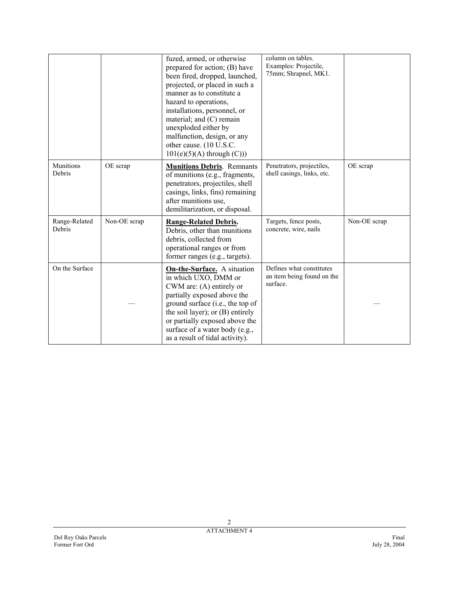|                            |              | fuzed, armed, or otherwise<br>prepared for action; (B) have<br>been fired, dropped, launched,<br>projected, or placed in such a<br>manner as to constitute a<br>hazard to operations,<br>installations, personnel, or<br>material; and $(C)$ remain<br>unexploded either by<br>malfunction, design, or any<br>other cause. (10 U.S.C.<br>$101(e)(5)(A)$ through $(C))$ | column on tables.<br>Examples: Projectile,<br>75mm; Shrapnel, MK1. |              |
|----------------------------|--------------|------------------------------------------------------------------------------------------------------------------------------------------------------------------------------------------------------------------------------------------------------------------------------------------------------------------------------------------------------------------------|--------------------------------------------------------------------|--------------|
| <b>Munitions</b><br>Debris | OE scrap     | <b>Munitions Debris.</b> Remnants<br>of munitions (e.g., fragments,<br>penetrators, projectiles, shell<br>casings, links, fins) remaining<br>after munitions use,<br>demilitarization, or disposal.                                                                                                                                                                    | Penetrators, projectiles,<br>shell casings, links, etc.            | OE scrap     |
| Range-Related<br>Debris    | Non-OE scrap | <b>Range-Related Debris.</b><br>Debris, other than munitions<br>debris, collected from<br>operational ranges or from<br>former ranges (e.g., targets).                                                                                                                                                                                                                 | Targets, fence posts,<br>concrete, wire, nails                     | Non-OE scrap |
| On the Surface             |              | <b>On-the-Surface.</b> A situation<br>in which UXO, DMM or<br>CWM are: $(A)$ entirely or<br>partially exposed above the<br>ground surface (i.e., the top of<br>the soil layer); or $(B)$ entirely<br>or partially exposed above the<br>surface of a water body (e.g.,<br>as a result of tidal activity).                                                               | Defines what constitutes<br>an item being found on the<br>surface. |              |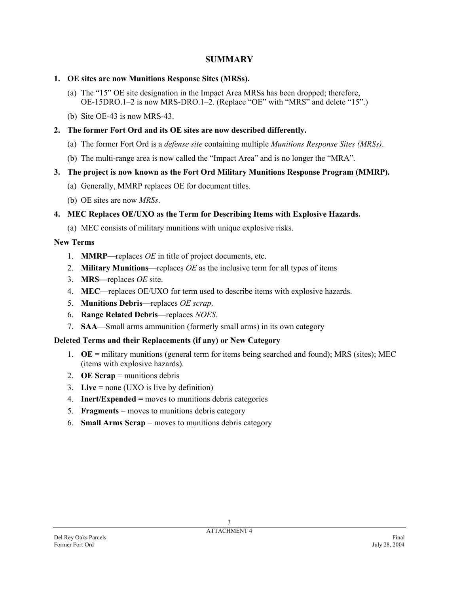#### **SUMMARY**

#### **1. OE sites are now Munitions Response Sites (MRSs).**

- (a) The "15" OE site designation in the Impact Area MRSs has been dropped; therefore, OE-15DRO.1–2 is now MRS-DRO.1–2. (Replace "OE" with "MRS" and delete "15".)
- (b) Site OE-43 is now MRS-43.

#### **2. The former Fort Ord and its OE sites are now described differently.**

- (a) The former Fort Ord is a *defense site* containing multiple *Munitions Response Sites (MRSs)*.
- (b) The multi-range area is now called the "Impact Area" and is no longer the "MRA".

#### **3. The project is now known as the Fort Ord Military Munitions Response Program (MMRP).**

- (a) Generally, MMRP replaces OE for document titles.
- (b) OE sites are now *MRSs*.

#### **4. MEC Replaces OE/UXO as the Term for Describing Items with Explosive Hazards.**

(a) MEC consists of military munitions with unique explosive risks.

#### **New Terms**

- 1. **MMRP—**replaces *OE* in title of project documents, etc.
- 2. **Military Munitions**—replaces *OE* as the inclusive term for all types of items
- 3. **MRS—**replaces *OE* site.
- 4. **MEC**—replaces OE/UXO for term used to describe items with explosive hazards.
- 5. **Munitions Debris**—replaces *OE scrap*.
- 6. **Range Related Debris**—replaces *NOES*.
- 7. **SAA**—Small arms ammunition (formerly small arms) in its own category

### **Deleted Terms and their Replacements (if any) or New Category**

- 1. **OE** = military munitions (general term for items being searched and found); MRS (sites); MEC (items with explosive hazards).
- 2. **OE Scrap** = munitions debris
- 3. **Live =** none (UXO is live by definition)
- 4. **Inert/Expended =** moves to munitions debris categories
- 5. **Fragments** = moves to munitions debris category
- 6. **Small Arms Scrap** = moves to munitions debris category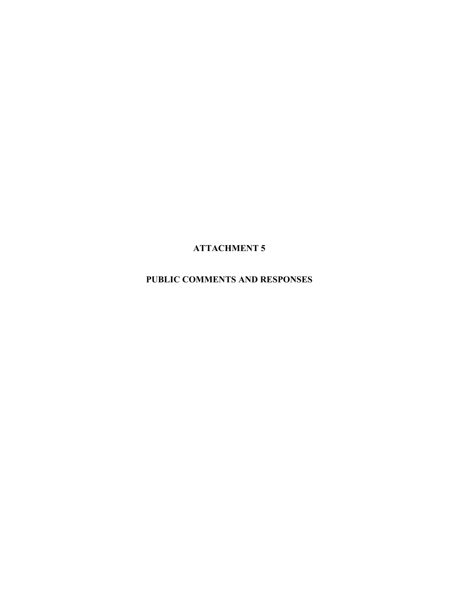**ATTACHMENT 5** 

**PUBLIC COMMENTS AND RESPONSES**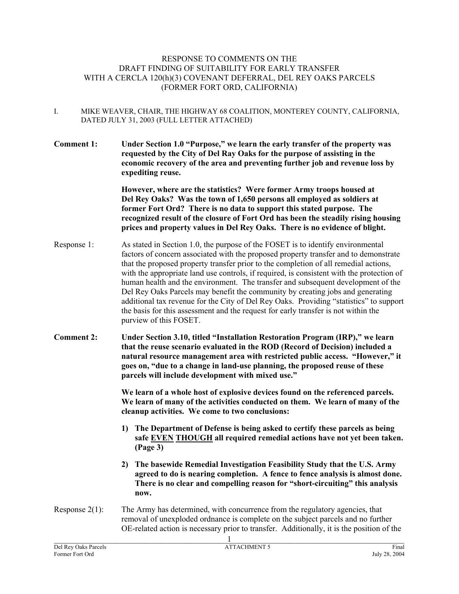#### RESPONSE TO COMMENTS ON THE DRAFT FINDING OF SUITABILITY FOR EARLY TRANSFER WITH A CERCLA 120(h)(3) COVENANT DEFERRAL, DEL REY OAKS PARCELS (FORMER FORT ORD, CALIFORNIA)

- I. MIKE WEAVER, CHAIR, THE HIGHWAY 68 COALITION, MONTEREY COUNTY, CALIFORNIA, DATED JULY 31, 2003 (FULL LETTER ATTACHED)
- **Comment 1: Under Section 1.0 "Purpose," we learn the early transfer of the property was requested by the City of Del Ray Oaks for the purpose of assisting in the economic recovery of the area and preventing further job and revenue loss by expediting reuse.**

**However, where are the statistics? Were former Army troops housed at Del Rey Oaks? Was the town of 1,650 persons all employed as soldiers at former Fort Ord? There is no data to support this stated purpose. The recognized result of the closure of Fort Ord has been the steadily rising housing prices and property values in Del Rey Oaks. There is no evidence of blight.** 

- Response 1: As stated in Section 1.0, the purpose of the FOSET is to identify environmental factors of concern associated with the proposed property transfer and to demonstrate that the proposed property transfer prior to the completion of all remedial actions, with the appropriate land use controls, if required, is consistent with the protection of human health and the environment. The transfer and subsequent development of the Del Rey Oaks Parcels may benefit the community by creating jobs and generating additional tax revenue for the City of Del Rey Oaks. Providing "statistics" to support the basis for this assessment and the request for early transfer is not within the purview of this FOSET.
- **Comment 2: Under Section 3.10, titled "Installation Restoration Program (IRP)," we learn that the reuse scenario evaluated in the ROD (Record of Decision) included a natural resource management area with restricted public access. "However," it goes on, "due to a change in land-use planning, the proposed reuse of these parcels will include development with mixed use."**

**We learn of a whole host of explosive devices found on the referenced parcels. We learn of many of the activities conducted on them. We learn of many of the cleanup activities. We come to two conclusions:** 

- **1) The Department of Defense is being asked to certify these parcels as being safe EVEN THOUGH all required remedial actions have not yet been taken. (Page 3)**
- **2) The basewide Remedial Investigation Feasibility Study that the U.S. Army agreed to do is nearing completion. A fence to fence analysis is almost done. There is no clear and compelling reason for "short-circuiting" this analysis now.**
- Response 2(1): The Army has determined, with concurrence from the regulatory agencies, that removal of unexploded ordnance is complete on the subject parcels and no further OE-related action is necessary prior to transfer. Additionally, it is the position of the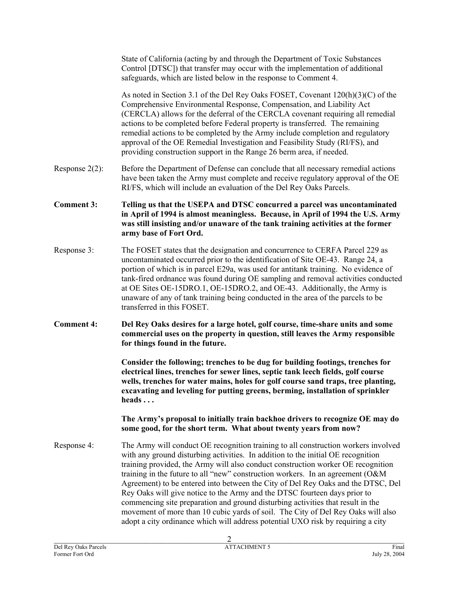State of California (acting by and through the Department of Toxic Substances Control [DTSC]) that transfer may occur with the implementation of additional safeguards, which are listed below in the response to Comment 4.

As noted in Section 3.1 of the Del Rey Oaks FOSET, Covenant 120(h)(3)(C) of the Comprehensive Environmental Response, Compensation, and Liability Act (CERCLA) allows for the deferral of the CERCLA covenant requiring all remedial actions to be completed before Federal property is transferred. The remaining remedial actions to be completed by the Army include completion and regulatory approval of the OE Remedial Investigation and Feasibility Study (RI/FS), and providing construction support in the Range 26 berm area, if needed.

- Response 2(2): Before the Department of Defense can conclude that all necessary remedial actions have been taken the Army must complete and receive regulatory approval of the OE RI/FS, which will include an evaluation of the Del Rey Oaks Parcels.
- **Comment 3: Telling us that the USEPA and DTSC concurred a parcel was uncontaminated in April of 1994 is almost meaningless. Because, in April of 1994 the U.S. Army was still insisting and/or unaware of the tank training activities at the former army base of Fort Ord.**
- Response 3: The FOSET states that the designation and concurrence to CERFA Parcel 229 as uncontaminated occurred prior to the identification of Site OE-43. Range 24, a portion of which is in parcel E29a, was used for antitank training. No evidence of tank-fired ordnance was found during OE sampling and removal activities conducted at OE Sites OE-15DRO.1, OE-15DRO.2, and OE-43. Additionally, the Army is unaware of any of tank training being conducted in the area of the parcels to be transferred in this FOSET.
- **Comment 4: Del Rey Oaks desires for a large hotel, golf course, time-share units and some commercial uses on the property in question, still leaves the Army responsible for things found in the future.**

**Consider the following; trenches to be dug for building footings, trenches for electrical lines, trenches for sewer lines, septic tank leech fields, golf course wells, trenches for water mains, holes for golf course sand traps, tree planting, excavating and leveling for putting greens, berming, installation of sprinkler heads . . .** 

**The Army's proposal to initially train backhoe drivers to recognize OE may do some good, for the short term. What about twenty years from now?** 

Response 4: The Army will conduct OE recognition training to all construction workers involved with any ground disturbing activities. In addition to the initial OE recognition training provided, the Army will also conduct construction worker OE recognition training in the future to all "new" construction workers. In an agreement (O&M Agreement) to be entered into between the City of Del Rey Oaks and the DTSC, Del Rey Oaks will give notice to the Army and the DTSC fourteen days prior to commencing site preparation and ground disturbing activities that result in the movement of more than 10 cubic yards of soil. The City of Del Rey Oaks will also adopt a city ordinance which will address potential UXO risk by requiring a city